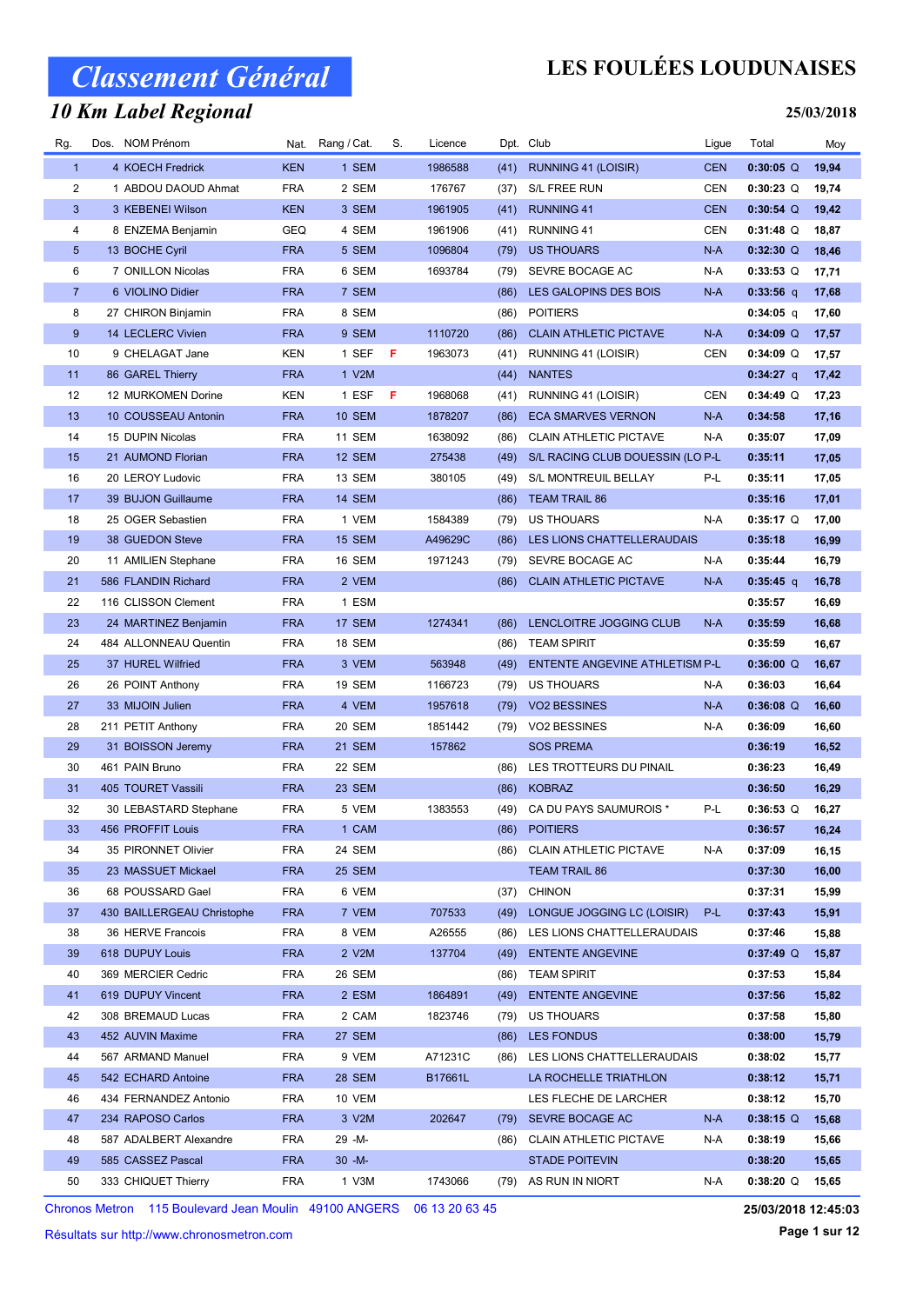#### 10 Km Label Regional

## LES FOULÉES LOUDUNAISES

#### 25/03/2018

| Rg.            | Dos. NOM Prénom            |            | Nat. Rang / Cat. | S. | Licence |      | Dpt. Club                        | Ligue      | Total                  | Moy   |
|----------------|----------------------------|------------|------------------|----|---------|------|----------------------------------|------------|------------------------|-------|
| $\mathbf{1}$   | 4 KOECH Fredrick           | <b>KEN</b> | 1 SEM            |    | 1986588 | (41) | RUNNING 41 (LOISIR)              | <b>CEN</b> | $0:30:05$ <sup>Q</sup> | 19,94 |
| 2              | 1 ABDOU DAOUD Ahmat        | <b>FRA</b> | 2 SEM            |    | 176767  | (37) | S/L FREE RUN                     | CEN        | $0:30:23$ Q            | 19,74 |
| 3              | 3 KEBENEI Wilson           | <b>KEN</b> | 3 SEM            |    | 1961905 | (41) | <b>RUNNING 41</b>                | <b>CEN</b> | $0:30:54$ Q            | 19,42 |
| 4              | 8 ENZEMA Benjamin          | <b>GEQ</b> | 4 SEM            |    | 1961906 | (41) | RUNNING 41                       | <b>CEN</b> | $0:31:48$ Q            | 18,87 |
| 5              | 13 BOCHE Cyril             | <b>FRA</b> | 5 SEM            |    | 1096804 | (79) | <b>US THOUARS</b>                | $N-A$      | $0:32:30$ Q            | 18,46 |
| 6              | 7 ONILLON Nicolas          | <b>FRA</b> | 6 SEM            |    | 1693784 | (79) | SEVRE BOCAGE AC                  | N-A        | $0:33:53$ Q            | 17,71 |
| $\overline{7}$ | 6 VIOLINO Didier           | <b>FRA</b> | 7 SEM            |    |         | (86) | LES GALOPINS DES BOIS            | $N-A$      | $0:33:56$ q            | 17,68 |
| 8              | 27 CHIRON Binjamin         | <b>FRA</b> | 8 SEM            |    |         | (86) | <b>POITIERS</b>                  |            | $0:34:05$ q            | 17,60 |
| 9              | 14 LECLERC Vivien          | <b>FRA</b> | 9 SEM            |    | 1110720 | (86) | <b>CLAIN ATHLETIC PICTAVE</b>    | $N-A$      | $0:34:09$ Q            | 17,57 |
| 10             | 9 CHELAGAT Jane            | KEN        | 1 SEF            | F. | 1963073 | (41) | RUNNING 41 (LOISIR)              | CEN        | $0:34:09$ Q            | 17,57 |
| 11             | 86 GAREL Thierry           | <b>FRA</b> | 1 V2M            |    |         | (44) | <b>NANTES</b>                    |            | 0:34:27 q              | 17,42 |
| 12             | 12 MURKOMEN Dorine         | KEN        | 1 ESF            | F  | 1968068 | (41) | RUNNING 41 (LOISIR)              | CEN        | $0:34:49$ Q            | 17,23 |
| 13             | 10 COUSSEAU Antonin        | <b>FRA</b> | <b>10 SEM</b>    |    | 1878207 | (86) | <b>ECA SMARVES VERNON</b>        | $N-A$      | 0:34:58                | 17,16 |
| 14             | 15 DUPIN Nicolas           | <b>FRA</b> | 11 SEM           |    | 1638092 | (86) | <b>CLAIN ATHLETIC PICTAVE</b>    | N-A        | 0:35:07                | 17,09 |
| 15             | 21 AUMOND Florian          | <b>FRA</b> | 12 SEM           |    | 275438  | (49) | S/L RACING CLUB DOUESSIN (LO P-L |            | 0:35:11                | 17,05 |
| 16             | 20 LEROY Ludovic           | <b>FRA</b> | 13 SEM           |    | 380105  | (49) | S/L MONTREUIL BELLAY             | P-L        | 0:35:11                | 17,05 |
| 17             | 39 BUJON Guillaume         | <b>FRA</b> | 14 SEM           |    |         | (86) | <b>TEAM TRAIL 86</b>             |            | 0:35:16                | 17,01 |
| 18             | 25 OGER Sebastien          | <b>FRA</b> | 1 VEM            |    | 1584389 | (79) | US THOUARS                       | N-A        | $0:35:17$ Q            | 17,00 |
| 19             | 38 GUEDON Steve            | <b>FRA</b> | 15 SEM           |    | A49629C | (86) | LES LIONS CHATTELLERAUDAIS       |            | 0:35:18                | 16,99 |
| 20             | 11 AMILIEN Stephane        | <b>FRA</b> | 16 SEM           |    | 1971243 | (79) | SEVRE BOCAGE AC                  | N-A        | 0:35:44                | 16,79 |
| 21             | 586 FLANDIN Richard        | <b>FRA</b> | 2 VEM            |    |         | (86) | <b>CLAIN ATHLETIC PICTAVE</b>    | $N-A$      | $0:35:45$ q            | 16,78 |
| 22             | 116 CLISSON Clement        | <b>FRA</b> | 1 ESM            |    |         |      |                                  |            | 0:35:57                | 16,69 |
| 23             | 24 MARTINEZ Benjamin       | <b>FRA</b> | 17 SEM           |    | 1274341 | (86) | LENCLOITRE JOGGING CLUB          | $N-A$      | 0:35:59                | 16,68 |
| 24             | 484 ALLONNEAU Quentin      | <b>FRA</b> | 18 SEM           |    |         | (86) | <b>TEAM SPIRIT</b>               |            | 0:35:59                | 16,67 |
| 25             | 37 HUREL Wilfried          | <b>FRA</b> | 3 VEM            |    | 563948  | (49) | ENTENTE ANGEVINE ATHLETISM P-L   |            | $0:36:00$ Q            | 16,67 |
| 26             | 26 POINT Anthony           | <b>FRA</b> | 19 SEM           |    | 1166723 | (79) | US THOUARS                       | N-A        | 0:36:03                | 16,64 |
| 27             | 33 MIJOIN Julien           | <b>FRA</b> | 4 VEM            |    | 1957618 | (79) | <b>VO2 BESSINES</b>              | $N-A$      | $0:36:08$ Q            | 16,60 |
| 28             | 211 PETIT Anthony          | <b>FRA</b> | 20 SEM           |    | 1851442 | (79) | VO2 BESSINES                     | N-A        | 0:36:09                | 16,60 |
| 29             | 31 BOISSON Jeremy          | <b>FRA</b> | 21 SEM           |    | 157862  |      | <b>SOS PREMA</b>                 |            | 0:36:19                | 16,52 |
| 30             | 461 PAIN Bruno             | <b>FRA</b> | 22 SEM           |    |         | (86) | LES TROTTEURS DU PINAIL          |            | 0:36:23                | 16,49 |
| 31             | 405 TOURET Vassili         | <b>FRA</b> | 23 SEM           |    |         | (86) | <b>KOBRAZ</b>                    |            | 0:36:50                | 16,29 |
| 32             | 30 LEBASTARD Stephane      | <b>FRA</b> | 5 VEM            |    | 1383553 | (49) | CA DU PAYS SAUMUROIS *           | P-L        | $0:36:53$ Q            | 16,27 |
| $33\,$         | 456 PROFFIT Louis          | <b>FRA</b> | 1 CAM            |    |         |      | (86) POITIERS                    |            | 0:36:57                | 16,24 |
| 34             | 35 PIRONNET Olivier        | <b>FRA</b> | 24 SEM           |    |         | (86) | <b>CLAIN ATHLETIC PICTAVE</b>    | N-A        | 0:37:09                | 16,15 |
| 35             | 23 MASSUET Mickael         | <b>FRA</b> | 25 SEM           |    |         |      | <b>TEAM TRAIL 86</b>             |            | 0:37:30                | 16,00 |
| 36             | 68 POUSSARD Gael           | <b>FRA</b> | 6 VEM            |    |         | (37) | <b>CHINON</b>                    |            | 0:37:31                | 15,99 |
| 37             | 430 BAILLERGEAU Christophe | <b>FRA</b> | 7 VEM            |    | 707533  | (49) | LONGUE JOGGING LC (LOISIR)       | P-L        | 0:37:43                | 15,91 |
| 38             | 36 HERVE Francois          | <b>FRA</b> | 8 VEM            |    | A26555  | (86) | LES LIONS CHATTELLERAUDAIS       |            | 0:37:46                | 15,88 |
| 39             | 618 DUPUY Louis            | <b>FRA</b> | 2 V2M            |    | 137704  | (49) | <b>ENTENTE ANGEVINE</b>          |            | $0:37:49$ Q            | 15,87 |
| 40             | 369 MERCIER Cedric         | <b>FRA</b> | 26 SEM           |    |         | (86) | <b>TEAM SPIRIT</b>               |            | 0:37:53                | 15,84 |
| 41             | 619 DUPUY Vincent          | <b>FRA</b> | 2 ESM            |    | 1864891 | (49) | <b>ENTENTE ANGEVINE</b>          |            | 0:37:56                | 15,82 |
| 42             | 308 BREMAUD Lucas          | <b>FRA</b> | 2 CAM            |    | 1823746 |      | (79) US THOUARS                  |            | 0:37:58                | 15,80 |
| 43             | 452 AUVIN Maxime           | <b>FRA</b> | 27 SEM           |    |         | (86) | LES FONDUS                       |            | 0:38:00                | 15,79 |
| 44             | 567 ARMAND Manuel          | <b>FRA</b> | 9 VEM            |    | A71231C | (86) | LES LIONS CHATTELLERAUDAIS       |            | 0:38:02                | 15,77 |
| 45             | 542 ECHARD Antoine         | <b>FRA</b> | 28 SEM           |    | B17661L |      | LA ROCHELLE TRIATHLON            |            | 0:38:12                | 15,71 |
| 46             | 434 FERNANDEZ Antonio      | <b>FRA</b> | 10 VEM           |    |         |      | LES FLECHE DE LARCHER            |            | 0:38:12                | 15,70 |
| 47             | 234 RAPOSO Carlos          | <b>FRA</b> | 3 V2M            |    | 202647  | (79) | SEVRE BOCAGE AC                  | N-A        | $0:38:15$ Q            | 15,68 |
| 48             | 587 ADALBERT Alexandre     | <b>FRA</b> | 29 -M-           |    |         | (86) | <b>CLAIN ATHLETIC PICTAVE</b>    | N-A        | 0:38:19                | 15,66 |
| 49             | 585 CASSEZ Pascal          | <b>FRA</b> | $30 - M -$       |    |         |      | <b>STADE POITEVIN</b>            |            | 0:38:20                | 15,65 |
| 50             | 333 CHIQUET Thierry        | <b>FRA</b> | 1 V3M            |    | 1743066 |      | (79) AS RUN IN NIORT             | N-A        | $0:38:20$ Q            | 15,65 |

Chronos Metron 115 Boulevard Jean Moulin 49100 ANGERS 06 13 20 63 45

25/03/2018 12:45:03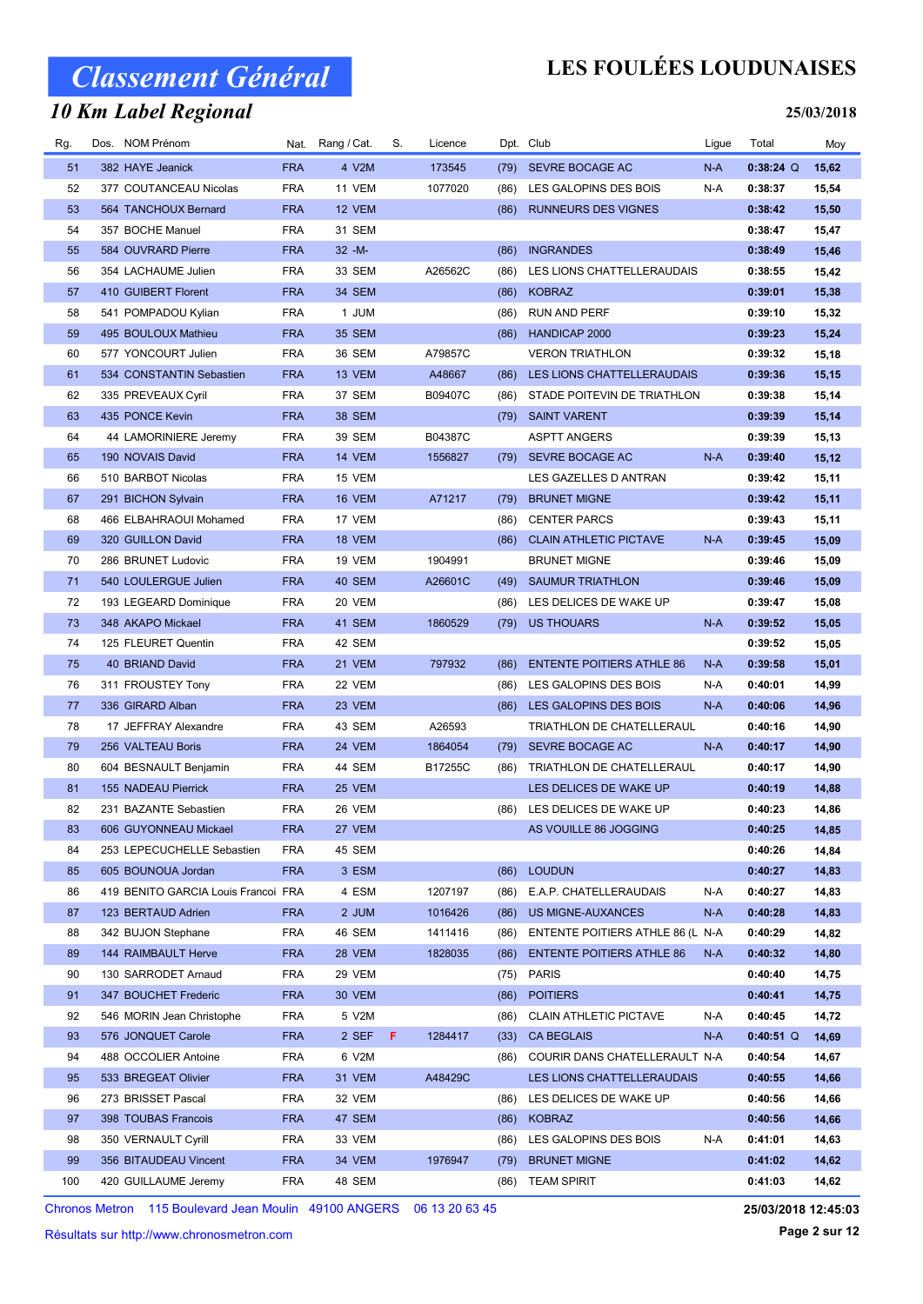#### 10 Km Label Regional

## LES FOULÉES LOUDUNAISES

#### 25/03/2018

| Rg. | Dos. NOM Prénom                     |            | Nat. Rang / Cat. | S. | Licence |      | Dpt. Club                        | Ligue | Total       | Moy   |
|-----|-------------------------------------|------------|------------------|----|---------|------|----------------------------------|-------|-------------|-------|
| 51  | 382 HAYE Jeanick                    | <b>FRA</b> | 4 V2M            |    | 173545  | (79) | SEVRE BOCAGE AC                  | $N-A$ | $0:38:24$ Q | 15,62 |
| 52  | 377 COUTANCEAU Nicolas              | <b>FRA</b> | 11 VEM           |    | 1077020 | (86) | LES GALOPINS DES BOIS            | N-A   | 0:38:37     | 15,54 |
| 53  | 564 TANCHOUX Bernard                | <b>FRA</b> | 12 VEM           |    |         | (86) | <b>RUNNEURS DES VIGNES</b>       |       | 0:38:42     | 15,50 |
| 54  | 357 BOCHE Manuel                    | <b>FRA</b> | 31 SEM           |    |         |      |                                  |       | 0:38:47     | 15,47 |
| 55  | 584 OUVRARD Pierre                  | <b>FRA</b> | $32 - M -$       |    |         | (86) | <b>INGRANDES</b>                 |       | 0:38:49     | 15,46 |
| 56  | 354 LACHAUME Julien                 | <b>FRA</b> | 33 SEM           |    | A26562C | (86) | LES LIONS CHATTELLERAUDAIS       |       | 0:38:55     | 15,42 |
| 57  | 410 GUIBERT Florent                 | <b>FRA</b> | 34 SEM           |    |         | (86) | <b>KOBRAZ</b>                    |       | 0:39:01     | 15,38 |
| 58  | 541 POMPADOU Kylian                 | <b>FRA</b> | 1 JUM            |    |         | (86) | RUN AND PERF                     |       | 0:39:10     | 15,32 |
| 59  | 495 BOULOUX Mathieu                 | <b>FRA</b> | <b>35 SEM</b>    |    |         | (86) | HANDICAP 2000                    |       | 0:39:23     | 15,24 |
| 60  | 577 YONCOURT Julien                 | <b>FRA</b> | 36 SEM           |    | A79857C |      | <b>VERON TRIATHLON</b>           |       | 0:39:32     | 15,18 |
| 61  | 534 CONSTANTIN Sebastien            | <b>FRA</b> | 13 VEM           |    | A48667  | (86) | LES LIONS CHATTELLERAUDAIS       |       | 0:39:36     | 15,15 |
| 62  | 335 PREVEAUX Cyril                  | <b>FRA</b> | 37 SEM           |    | B09407C | (86) | STADE POITEVIN DE TRIATHLON      |       | 0:39:38     | 15,14 |
| 63  | 435 PONCE Kevin                     | <b>FRA</b> | <b>38 SEM</b>    |    |         | (79) | <b>SAINT VARENT</b>              |       | 0:39:39     | 15,14 |
| 64  | 44 LAMORINIERE Jeremy               | <b>FRA</b> | 39 SEM           |    | B04387C |      | <b>ASPTT ANGERS</b>              |       | 0:39:39     | 15,13 |
| 65  | 190 NOVAIS David                    | <b>FRA</b> | 14 VEM           |    | 1556827 |      | (79) SEVRE BOCAGE AC             | N-A   | 0:39:40     | 15,12 |
| 66  | 510 BARBOT Nicolas                  | <b>FRA</b> | 15 VEM           |    |         |      | LES GAZELLES D ANTRAN            |       | 0:39:42     | 15,11 |
| 67  | 291 BICHON Sylvain                  | <b>FRA</b> | 16 VEM           |    | A71217  | (79) | <b>BRUNET MIGNE</b>              |       | 0:39:42     | 15,11 |
| 68  | 466 ELBAHRAOUI Mohamed              | <b>FRA</b> | 17 VEM           |    |         | (86) | <b>CENTER PARCS</b>              |       | 0:39:43     | 15,11 |
| 69  | 320 GUILLON David                   | <b>FRA</b> | 18 VEM           |    |         | (86) | <b>CLAIN ATHLETIC PICTAVE</b>    | N-A   | 0:39:45     | 15,09 |
| 70  | 286 BRUNET Ludovic                  | <b>FRA</b> | 19 VEM           |    | 1904991 |      | <b>BRUNET MIGNE</b>              |       | 0:39:46     | 15,09 |
| 71  | 540 LOULERGUE Julien                | <b>FRA</b> | 40 SEM           |    | A26601C | (49) | <b>SAUMUR TRIATHLON</b>          |       | 0:39:46     | 15,09 |
| 72  | 193 LEGEARD Dominique               | <b>FRA</b> | 20 VEM           |    |         | (86) | LES DELICES DE WAKE UP           |       | 0:39:47     | 15,08 |
| 73  | 348 AKAPO Mickael                   | <b>FRA</b> | 41 SEM           |    | 1860529 | (79) | US THOUARS                       | $N-A$ | 0:39:52     | 15,05 |
| 74  | 125 FLEURET Quentin                 | <b>FRA</b> | 42 SEM           |    |         |      |                                  |       | 0:39:52     | 15,05 |
| 75  | 40 BRIAND David                     | <b>FRA</b> | 21 VEM           |    | 797932  | (86) | <b>ENTENTE POITIERS ATHLE 86</b> | N-A   | 0:39:58     | 15,01 |
| 76  | 311 FROUSTEY Tony                   | <b>FRA</b> | 22 VEM           |    |         | (86) | LES GALOPINS DES BOIS            | N-A   | 0:40:01     | 14,99 |
| 77  | 336 GIRARD Alban                    | <b>FRA</b> | 23 VEM           |    |         | (86) | LES GALOPINS DES BOIS            | N-A   | 0:40:06     | 14,96 |
| 78  | 17 JEFFRAY Alexandre                | <b>FRA</b> | 43 SEM           |    | A26593  |      | TRIATHLON DE CHATELLERAUL        |       | 0:40:16     | 14,90 |
| 79  | 256 VALTEAU Boris                   | <b>FRA</b> | 24 VEM           |    | 1864054 | (79) | SEVRE BOCAGE AC                  | $N-A$ | 0:40:17     | 14,90 |
| 80  | 604 BESNAULT Benjamin               | <b>FRA</b> | 44 SEM           |    | B17255C | (86) | TRIATHLON DE CHATELLERAUL        |       | 0:40:17     | 14,90 |
| 81  | 155 NADEAU Pierrick                 | <b>FRA</b> | 25 VEM           |    |         |      | LES DELICES DE WAKE UP           |       | 0:40:19     | 14,88 |
| 82  | 231 BAZANTE Sebastien               | <b>FRA</b> | 26 VEM           |    |         |      | (86) LES DELICES DE WAKE UP      |       | 0:40:23     | 14,86 |
| 83  | 606 GUYONNEAU Mickael               | <b>FRA</b> | 27 VEM           |    |         |      | AS VOUILLE 86 JOGGING            |       | 0:40:25     | 14,85 |
| 84  | 253 LEPECUCHELLE Sebastien          | <b>FRA</b> | 45 SEM           |    |         |      |                                  |       | 0:40:26     | 14,84 |
| 85  | 605 BOUNOUA Jordan                  | <b>FRA</b> | 3 ESM            |    |         | (86) | <b>LOUDUN</b>                    |       | 0:40:27     | 14,83 |
| 86  | 419 BENITO GARCIA Louis Francoi FRA |            | 4 ESM            |    | 1207197 | (86) | E.A.P. CHATELLERAUDAIS           | N-A   | 0:40:27     | 14,83 |
| 87  | 123 BERTAUD Adrien                  | <b>FRA</b> | 2 JUM            |    | 1016426 | (86) | US MIGNE-AUXANCES                | N-A   | 0:40:28     | 14,83 |
| 88  | 342 BUJON Stephane                  | <b>FRA</b> | 46 SEM           |    | 1411416 | (86) | ENTENTE POITIERS ATHLE 86 (L N-A |       | 0:40:29     | 14,82 |
| 89  | 144 RAIMBAULT Herve                 | <b>FRA</b> | 28 VEM           |    | 1828035 | (86) | <b>ENTENTE POITIERS ATHLE 86</b> | N-A   | 0:40:32     | 14,80 |
| 90  | 130 SARRODET Arnaud                 | <b>FRA</b> | 29 VEM           |    |         | (75) | <b>PARIS</b>                     |       | 0:40:40     | 14,75 |
| 91  | 347 BOUCHET Frederic                | <b>FRA</b> | 30 VEM           |    |         | (86) | <b>POITIERS</b>                  |       | 0:40:41     | 14,75 |
| 92  | 546 MORIN Jean Christophe           | <b>FRA</b> | 5 V2M            |    |         | (86) | <b>CLAIN ATHLETIC PICTAVE</b>    | N-A   | 0:40:45     | 14,72 |
| 93  | 576 JONQUET Carole                  | <b>FRA</b> | 2 SEF            | F. | 1284417 | (33) | <b>CA BEGLAIS</b>                | N-A   | $0:40:51$ Q | 14,69 |
| 94  | 488 OCCOLIER Antoine                | <b>FRA</b> | 6 V2M            |    |         | (86) | COURIR DANS CHATELLERAULT N-A    |       | 0:40:54     | 14,67 |
| 95  | 533 BREGEAT Olivier                 | <b>FRA</b> | 31 VEM           |    | A48429C |      | LES LIONS CHATTELLERAUDAIS       |       | 0:40:55     | 14,66 |
| 96  | 273 BRISSET Pascal                  | <b>FRA</b> | 32 VEM           |    |         | (86) | LES DELICES DE WAKE UP           |       | 0:40:56     | 14,66 |
| 97  | 398 TOUBAS Francois                 | <b>FRA</b> | 47 SEM           |    |         | (86) | <b>KOBRAZ</b>                    |       | 0:40:56     | 14,66 |
| 98  | 350 VERNAULT Cyrill                 | <b>FRA</b> | 33 VEM           |    |         | (86) | LES GALOPINS DES BOIS            | N-A   | 0:41:01     | 14,63 |
| 99  | 356 BITAUDEAU Vincent               | <b>FRA</b> | 34 VEM           |    | 1976947 | (79) | <b>BRUNET MIGNE</b>              |       | 0:41:02     | 14,62 |
| 100 | 420 GUILLAUME Jeremy                | <b>FRA</b> | 48 SEM           |    |         | (86) | <b>TEAM SPIRIT</b>               |       | 0:41:03     | 14,62 |

Chronos Metron 115 Boulevard Jean Moulin 49100 ANGERS 06 13 20 63 45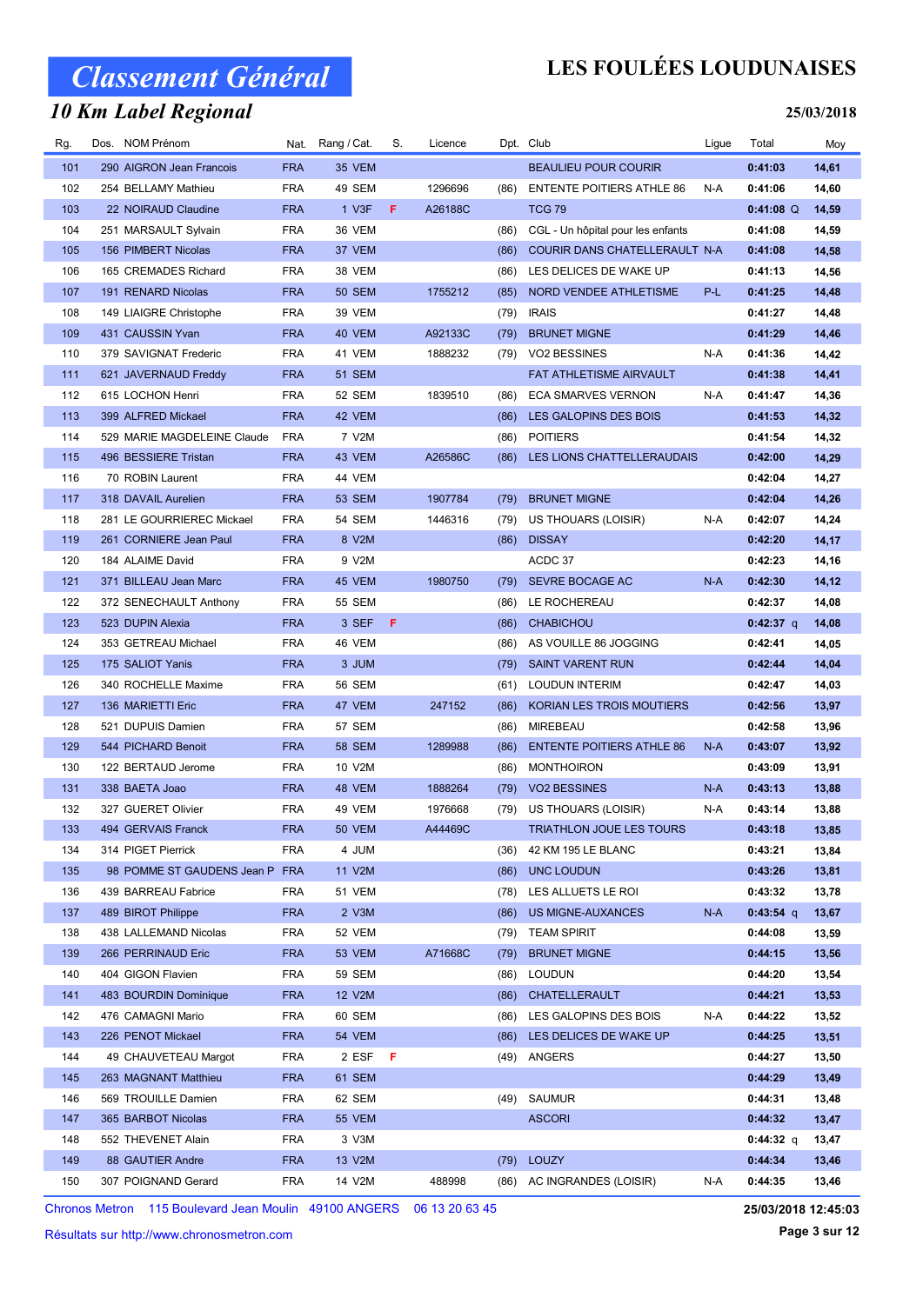#### 10 Km Label Regional

### LES FOULÉES LOUDUNAISES

#### 25/03/2018

| Rg. | Dos. NOM Prénom                |            | Nat. Rang / Cat. | S.  | Licence |      | Dpt. Club                         | Ligue | Total       | Moy   |
|-----|--------------------------------|------------|------------------|-----|---------|------|-----------------------------------|-------|-------------|-------|
| 101 | 290 AIGRON Jean Francois       | <b>FRA</b> | 35 VEM           |     |         |      | <b>BEAULIEU POUR COURIR</b>       |       | 0:41:03     | 14,61 |
| 102 | 254 BELLAMY Mathieu            | <b>FRA</b> | 49 SEM           |     | 1296696 | (86) | <b>ENTENTE POITIERS ATHLE 86</b>  | N-A   | 0:41:06     | 14,60 |
| 103 | 22 NOIRAUD Claudine            | <b>FRA</b> | 1 V3F            | F.  | A26188C |      | <b>TCG 79</b>                     |       | $0:41:08$ Q | 14,59 |
| 104 | 251 MARSAULT Sylvain           | <b>FRA</b> | 36 VEM           |     |         | (86) | CGL - Un hôpital pour les enfants |       | 0:41:08     | 14,59 |
| 105 | 156 PIMBERT Nicolas            | <b>FRA</b> | 37 VEM           |     |         | (86) | COURIR DANS CHATELLERAULT N-A     |       | 0:41:08     | 14,58 |
| 106 | 165 CREMADES Richard           | <b>FRA</b> | 38 VEM           |     |         | (86) | LES DELICES DE WAKE UP            |       | 0:41:13     | 14,56 |
| 107 | 191 RENARD Nicolas             | <b>FRA</b> | <b>50 SEM</b>    |     | 1755212 | (85) | NORD VENDEE ATHLETISME            | P-L   | 0:41:25     | 14,48 |
| 108 | 149 LIAIGRE Christophe         | <b>FRA</b> | <b>39 VEM</b>    |     |         | (79) | <b>IRAIS</b>                      |       | 0:41:27     | 14,48 |
| 109 | 431 CAUSSIN Yvan               | <b>FRA</b> | 40 VEM           |     | A92133C | (79) | <b>BRUNET MIGNE</b>               |       | 0:41:29     | 14,46 |
| 110 | 379 SAVIGNAT Frederic          | <b>FRA</b> | 41 VEM           |     | 1888232 | (79) | <b>VO2 BESSINES</b>               | N-A   | 0:41:36     | 14,42 |
| 111 | 621 JAVERNAUD Freddy           | <b>FRA</b> | <b>51 SEM</b>    |     |         |      | FAT ATHLETISME AIRVAULT           |       | 0:41:38     | 14,41 |
| 112 | 615 LOCHON Henri               | <b>FRA</b> | 52 SEM           |     | 1839510 | (86) | <b>ECA SMARVES VERNON</b>         | N-A   | 0:41:47     | 14,36 |
| 113 | 399 ALFRED Mickael             | <b>FRA</b> | 42 VEM           |     |         | (86) | LES GALOPINS DES BOIS             |       | 0:41:53     | 14,32 |
| 114 | 529 MARIE MAGDELEINE Claude    | <b>FRA</b> | 7 V2M            |     |         | (86) | <b>POITIERS</b>                   |       | 0:41:54     | 14,32 |
| 115 | 496 BESSIERE Tristan           | <b>FRA</b> | 43 VEM           |     | A26586C | (86) | LES LIONS CHATTELLERAUDAIS        |       | 0:42:00     | 14,29 |
| 116 | 70 ROBIN Laurent               | <b>FRA</b> | 44 VEM           |     |         |      |                                   |       | 0:42:04     | 14,27 |
| 117 | 318 DAVAIL Aurelien            | <b>FRA</b> | <b>53 SEM</b>    |     | 1907784 | (79) | <b>BRUNET MIGNE</b>               |       | 0:42:04     | 14,26 |
| 118 | 281 LE GOURRIEREC Mickael      | <b>FRA</b> | 54 SEM           |     | 1446316 | (79) | US THOUARS (LOISIR)               | N-A   | 0:42:07     | 14,24 |
| 119 | 261 CORNIERE Jean Paul         | <b>FRA</b> | 8 V2M            |     |         | (86) | <b>DISSAY</b>                     |       | 0:42:20     | 14,17 |
| 120 | 184 ALAIME David               | <b>FRA</b> | 9 V2M            |     |         |      | ACDC 37                           |       | 0:42:23     | 14,16 |
| 121 | 371 BILLEAU Jean Marc          | <b>FRA</b> | 45 VEM           |     | 1980750 | (79) | SEVRE BOCAGE AC                   | $N-A$ | 0:42:30     | 14,12 |
| 122 | 372 SENECHAULT Anthony         | <b>FRA</b> | 55 SEM           |     |         | (86) | LE ROCHEREAU                      |       | 0:42:37     | 14,08 |
| 123 | 523 DUPIN Alexia               | <b>FRA</b> | 3 SEF            | F   |         | (86) | <b>CHABICHOU</b>                  |       | $0:42:37$ q | 14,08 |
| 124 | 353 GETREAU Michael            | <b>FRA</b> | 46 VEM           |     |         | (86) | AS VOUILLE 86 JOGGING             |       | 0:42:41     | 14,05 |
| 125 | 175 SALIOT Yanis               | <b>FRA</b> | 3 JUM            |     |         | (79) | <b>SAINT VARENT RUN</b>           |       | 0:42:44     | 14,04 |
| 126 | 340 ROCHELLE Maxime            | <b>FRA</b> | 56 SEM           |     |         | (61) | <b>LOUDUN INTERIM</b>             |       | 0:42:47     | 14,03 |
| 127 | 136 MARIETTI Eric              | <b>FRA</b> | 47 VEM           |     | 247152  | (86) | KORIAN LES TROIS MOUTIERS         |       | 0:42:56     | 13,97 |
| 128 | 521 DUPUIS Damien              | <b>FRA</b> | 57 SEM           |     |         | (86) | <b>MIREBEAU</b>                   |       | 0:42:58     | 13,96 |
| 129 | 544 PICHARD Benoit             | <b>FRA</b> | <b>58 SEM</b>    |     | 1289988 | (86) | <b>ENTENTE POITIERS ATHLE 86</b>  | $N-A$ | 0:43:07     | 13,92 |
| 130 | 122 BERTAUD Jerome             | <b>FRA</b> | 10 V2M           |     |         | (86) | <b>MONTHOIRON</b>                 |       | 0:43:09     | 13,91 |
| 131 | 338 BAETA Joao                 | <b>FRA</b> | 48 VEM           |     | 1888264 | (79) | <b>VO2 BESSINES</b>               | $N-A$ | 0:43:13     | 13,88 |
| 132 | 327 GUERET Olivier             | <b>FRA</b> | 49 VEM           |     | 1976668 | (79) | US THOUARS (LOISIR)               | N-A   | 0:43:14     | 13,88 |
| 133 | 494 GERVAIS Franck             | <b>FRA</b> | 50 VEM           |     | A44469C |      | <b>TRIATHLON JOUE LES TOURS</b>   |       | 0:43:18     | 13,85 |
| 134 | 314 PIGET Pierrick             | <b>FRA</b> | 4 JUM            |     |         | (36) | 42 KM 195 LE BLANC                |       | 0:43:21     | 13,84 |
| 135 | 98 POMME ST GAUDENS Jean P FRA |            | 11 V2M           |     |         | (86) | UNC LOUDUN                        |       | 0:43:26     | 13,81 |
| 136 | 439 BARREAU Fabrice            | <b>FRA</b> | 51 VEM           |     |         | (78) | LES ALLUETS LE ROI                |       | 0:43:32     | 13,78 |
| 137 | 489 BIROT Philippe             | <b>FRA</b> | $2$ V3M          |     |         | (86) | US MIGNE-AUXANCES                 | $N-A$ | $0:43:54$ q | 13,67 |
| 138 | 438 LALLEMAND Nicolas          | <b>FRA</b> | 52 VEM           |     |         | (79) | <b>TEAM SPIRIT</b>                |       | 0:44:08     | 13,59 |
| 139 | 266 PERRINAUD Eric             | <b>FRA</b> | 53 VEM           |     | A71668C | (79) | <b>BRUNET MIGNE</b>               |       | 0:44:15     | 13,56 |
| 140 | 404 GIGON Flavien              | <b>FRA</b> | 59 SEM           |     |         | (86) | <b>LOUDUN</b>                     |       | 0:44:20     | 13,54 |
| 141 | 483 BOURDIN Dominique          | <b>FRA</b> | 12 V2M           |     |         | (86) | CHATELLERAULT                     |       | 0:44:21     | 13,53 |
| 142 | 476 CAMAGNI Mario              | <b>FRA</b> | 60 SEM           |     |         | (86) | LES GALOPINS DES BOIS             | N-A   | 0:44:22     | 13,52 |
| 143 | 226 PENOT Mickael              | <b>FRA</b> | 54 VEM           |     |         | (86) | LES DELICES DE WAKE UP            |       | 0:44:25     | 13,51 |
| 144 | 49 CHAUVETEAU Margot           | <b>FRA</b> | 2 ESF            | - F |         |      | (49) ANGERS                       |       | 0:44:27     | 13,50 |
| 145 | 263 MAGNANT Matthieu           | <b>FRA</b> | 61 SEM           |     |         |      |                                   |       | 0:44:29     | 13,49 |
| 146 | 569 TROUILLE Damien            | <b>FRA</b> | 62 SEM           |     |         | (49) | <b>SAUMUR</b>                     |       | 0:44:31     | 13,48 |
| 147 | 365 BARBOT Nicolas             | <b>FRA</b> | <b>55 VEM</b>    |     |         |      | <b>ASCORI</b>                     |       | 0:44:32     | 13,47 |
| 148 | 552 THEVENET Alain             | <b>FRA</b> | 3 V3M            |     |         |      |                                   |       | 0:44:32 q   | 13,47 |
| 149 | 88 GAUTIER Andre               | <b>FRA</b> | 13 V2M           |     |         |      | (79) LOUZY                        |       | 0:44:34     | 13,46 |
| 150 | 307 POIGNAND Gerard            | <b>FRA</b> | 14 V2M           |     | 488998  | (86) | AC INGRANDES (LOISIR)             | N-A   | 0:44:35     | 13,46 |

Chronos Metron 115 Boulevard Jean Moulin 49100 ANGERS 06 13 20 63 45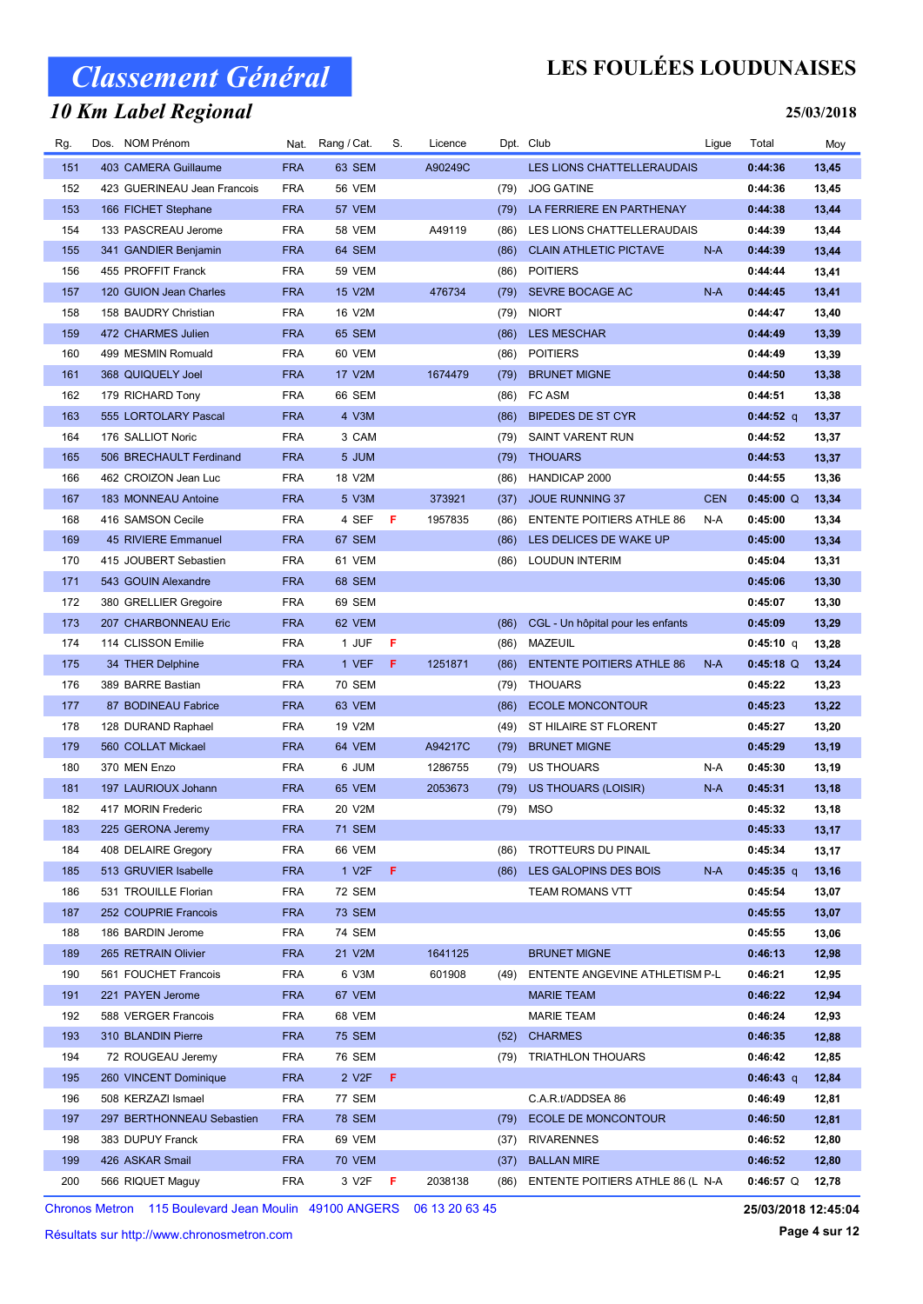### 10 Km Label Regional

## LES FOULÉES LOUDUNAISES

#### 25/03/2018

| Rg. | Dos. NOM Prénom             |            | Nat. Rang / Cat.   | S.  | Licence |      | Dpt. Club                         | Ligue      | Total       | Moy   |
|-----|-----------------------------|------------|--------------------|-----|---------|------|-----------------------------------|------------|-------------|-------|
| 151 | 403 CAMERA Guillaume        | <b>FRA</b> | 63 SEM             |     | A90249C |      | <b>LES LIONS CHATTELLERAUDAIS</b> |            | 0:44:36     | 13,45 |
| 152 | 423 GUERINEAU Jean Francois | <b>FRA</b> | <b>56 VEM</b>      |     |         | (79) | <b>JOG GATINE</b>                 |            | 0:44:36     | 13,45 |
| 153 | 166 FICHET Stephane         | <b>FRA</b> | 57 VEM             |     |         | (79) | LA FERRIERE EN PARTHENAY          |            | 0:44:38     | 13,44 |
| 154 | 133 PASCREAU Jerome         | <b>FRA</b> | <b>58 VEM</b>      |     | A49119  | (86) | LES LIONS CHATTELLERAUDAIS        |            | 0:44:39     | 13,44 |
| 155 | 341 GANDIER Benjamin        | <b>FRA</b> | 64 SEM             |     |         | (86) | <b>CLAIN ATHLETIC PICTAVE</b>     | $N-A$      | 0:44:39     | 13,44 |
| 156 | 455 PROFFIT Franck          | <b>FRA</b> | <b>59 VEM</b>      |     |         | (86) | <b>POITIERS</b>                   |            | 0:44:44     | 13,41 |
| 157 | 120 GUION Jean Charles      | <b>FRA</b> | 15 V2M             |     | 476734  | (79) | SEVRE BOCAGE AC                   | $N-A$      | 0:44:45     | 13,41 |
| 158 | 158 BAUDRY Christian        | <b>FRA</b> | 16 V2M             |     |         | (79) | <b>NIORT</b>                      |            | 0:44:47     | 13,40 |
| 159 | 472 CHARMES Julien          | <b>FRA</b> | 65 SEM             |     |         | (86) | <b>LES MESCHAR</b>                |            | 0:44:49     | 13,39 |
| 160 | 499 MESMIN Romuald          | <b>FRA</b> | 60 VEM             |     |         | (86) | <b>POITIERS</b>                   |            | 0:44:49     | 13,39 |
| 161 | 368 QUIQUELY Joel           | <b>FRA</b> | 17 V2M             |     | 1674479 | (79) | <b>BRUNET MIGNE</b>               |            | 0:44:50     | 13,38 |
| 162 | 179 RICHARD Tony            | <b>FRA</b> | 66 SEM             |     |         | (86) | <b>FC ASM</b>                     |            | 0:44:51     | 13,38 |
| 163 | 555 LORTOLARY Pascal        | <b>FRA</b> | 4 V3M              |     |         | (86) | <b>BIPEDES DE ST CYR</b>          |            | $0:44:52$ q | 13,37 |
| 164 | 176 SALLIOT Noric           | <b>FRA</b> | 3 CAM              |     |         | (79) | <b>SAINT VARENT RUN</b>           |            | 0:44:52     | 13,37 |
| 165 | 506 BRECHAULT Ferdinand     | <b>FRA</b> | 5 JUM              |     |         | (79) | <b>THOUARS</b>                    |            | 0:44:53     | 13,37 |
| 166 | 462 CROIZON Jean Luc        | <b>FRA</b> | 18 V2M             |     |         | (86) | HANDICAP 2000                     |            | 0:44:55     | 13,36 |
| 167 | 183 MONNEAU Antoine         | <b>FRA</b> | 5 V3M              |     | 373921  | (37) | JOUE RUNNING 37                   | <b>CEN</b> | $0:45:00$ Q | 13,34 |
| 168 | 416 SAMSON Cecile           | <b>FRA</b> | 4 SEF              | - F | 1957835 | (86) | <b>ENTENTE POITIERS ATHLE 86</b>  | N-A        | 0:45:00     | 13,34 |
| 169 | 45 RIVIERE Emmanuel         | <b>FRA</b> | 67 SEM             |     |         | (86) | LES DELICES DE WAKE UP            |            | 0:45:00     | 13,34 |
| 170 | 415 JOUBERT Sebastien       | <b>FRA</b> | 61 VEM             |     |         | (86) | <b>LOUDUN INTERIM</b>             |            | 0:45:04     | 13,31 |
| 171 | 543 GOUIN Alexandre         | <b>FRA</b> | 68 SEM             |     |         |      |                                   |            | 0:45:06     | 13,30 |
| 172 | 380 GRELLIER Gregoire       | <b>FRA</b> | 69 SEM             |     |         |      |                                   |            | 0:45:07     | 13,30 |
| 173 | 207 CHARBONNEAU Eric        | <b>FRA</b> | 62 VEM             |     |         | (86) | CGL - Un hôpital pour les enfants |            | 0:45:09     | 13,29 |
| 174 | 114 CLISSON Emilie          | <b>FRA</b> | 1 JUF              | F   |         | (86) | MAZEUIL                           |            | 0:45:10 q   | 13,28 |
| 175 | 34 THER Delphine            | <b>FRA</b> | 1 VEF              | F.  | 1251871 | (86) | <b>ENTENTE POITIERS ATHLE 86</b>  | $N-A$      | $0:45:18$ Q | 13,24 |
| 176 | 389 BARRE Bastian           | <b>FRA</b> | <b>70 SEM</b>      |     |         | (79) | <b>THOUARS</b>                    |            | 0:45:22     | 13,23 |
| 177 | 87 BODINEAU Fabrice         | <b>FRA</b> | 63 VEM             |     |         | (86) | <b>ECOLE MONCONTOUR</b>           |            | 0:45:23     | 13,22 |
| 178 | 128 DURAND Raphael          | <b>FRA</b> | 19 V2M             |     |         | (49) | ST HILAIRE ST FLORENT             |            | 0:45:27     | 13,20 |
| 179 | 560 COLLAT Mickael          | <b>FRA</b> | 64 VEM             |     | A94217C | (79) | <b>BRUNET MIGNE</b>               |            | 0:45:29     | 13,19 |
| 180 | 370 MEN Enzo                | <b>FRA</b> | 6 JUM              |     | 1286755 | (79) | US THOUARS                        | N-A        | 0:45:30     | 13,19 |
| 181 | 197 LAURIOUX Johann         | <b>FRA</b> | 65 VEM             |     | 2053673 | (79) | US THOUARS (LOISIR)               | $N-A$      | 0:45:31     | 13,18 |
| 182 | 417 MORIN Frederic          | <b>FRA</b> | 20 V2M             |     |         | (79) | <b>MSO</b>                        |            | 0:45:32     | 13,18 |
| 183 | 225 GERONA Jeremy           | <b>FRA</b> | <b>71 SEM</b>      |     |         |      |                                   |            | 0:45:33     | 13,17 |
| 184 | 408 DELAIRE Gregory         | <b>FRA</b> | 66 VEM             |     |         | (86) | TROTTEURS DU PINAIL               |            | 0:45:34     | 13,17 |
| 185 | 513 GRUVIER Isabelle        | <b>FRA</b> | 1 V <sub>2</sub> F | F.  |         | (86) | LES GALOPINS DES BOIS             | N-A        | $0:45:35$ q | 13,16 |
| 186 | 531 TROUILLE Florian        | <b>FRA</b> | <b>72 SEM</b>      |     |         |      | TEAM ROMANS VTT                   |            | 0:45:54     | 13,07 |
| 187 | 252 COUPRIE Francois        | <b>FRA</b> | <b>73 SEM</b>      |     |         |      |                                   |            | 0:45:55     | 13,07 |
| 188 | 186 BARDIN Jerome           | <b>FRA</b> | 74 SEM             |     |         |      |                                   |            | 0:45:55     | 13,06 |
| 189 | 265 RETRAIN Olivier         | <b>FRA</b> | 21 V2M             |     | 1641125 |      | <b>BRUNET MIGNE</b>               |            | 0:46:13     | 12,98 |
| 190 | 561 FOUCHET Francois        | <b>FRA</b> | 6 V3M              |     | 601908  | (49) | ENTENTE ANGEVINE ATHLETISM P-L    |            | 0:46:21     | 12,95 |
| 191 | 221 PAYEN Jerome            | <b>FRA</b> | 67 VEM             |     |         |      | <b>MARIE TEAM</b>                 |            | 0:46:22     | 12,94 |
| 192 | 588 VERGER Francois         | <b>FRA</b> | 68 VEM             |     |         |      | <b>MARIE TEAM</b>                 |            | 0:46:24     | 12,93 |
| 193 | 310 BLANDIN Pierre          | <b>FRA</b> | <b>75 SEM</b>      |     |         | (52) | <b>CHARMES</b>                    |            | 0:46:35     | 12,88 |
| 194 | 72 ROUGEAU Jeremy           | <b>FRA</b> | 76 SEM             |     |         | (79) | <b>TRIATHLON THOUARS</b>          |            | 0:46:42     | 12,85 |
| 195 | 260 VINCENT Dominique       | <b>FRA</b> | 2 V <sub>2</sub> F | F.  |         |      |                                   |            | 0:46:43 q   | 12,84 |
| 196 | 508 KERZAZI Ismael          | <b>FRA</b> | 77 SEM             |     |         |      | C.A.R.t/ADDSEA 86                 |            | 0:46:49     | 12,81 |
| 197 | 297 BERTHONNEAU Sebastien   | <b>FRA</b> | <b>78 SEM</b>      |     |         | (79) | ECOLE DE MONCONTOUR               |            | 0:46:50     | 12,81 |
| 198 | 383 DUPUY Franck            | <b>FRA</b> | 69 VEM             |     |         | (37) | <b>RIVARENNES</b>                 |            | 0:46:52     | 12,80 |
| 199 | 426 ASKAR Smail             | <b>FRA</b> | <b>70 VEM</b>      |     |         | (37) | <b>BALLAN MIRE</b>                |            | 0:46:52     | 12,80 |
| 200 | 566 RIQUET Maguy            | <b>FRA</b> | 3 V2F              | F   | 2038138 | (86) | ENTENTE POITIERS ATHLE 86 (L N-A  |            | $0:46:57$ Q | 12,78 |

Chronos Metron 115 Boulevard Jean Moulin 49100 ANGERS 06 13 20 63 45

Résultats sur http://www.chronosmetron.com

25/03/2018 12:45:04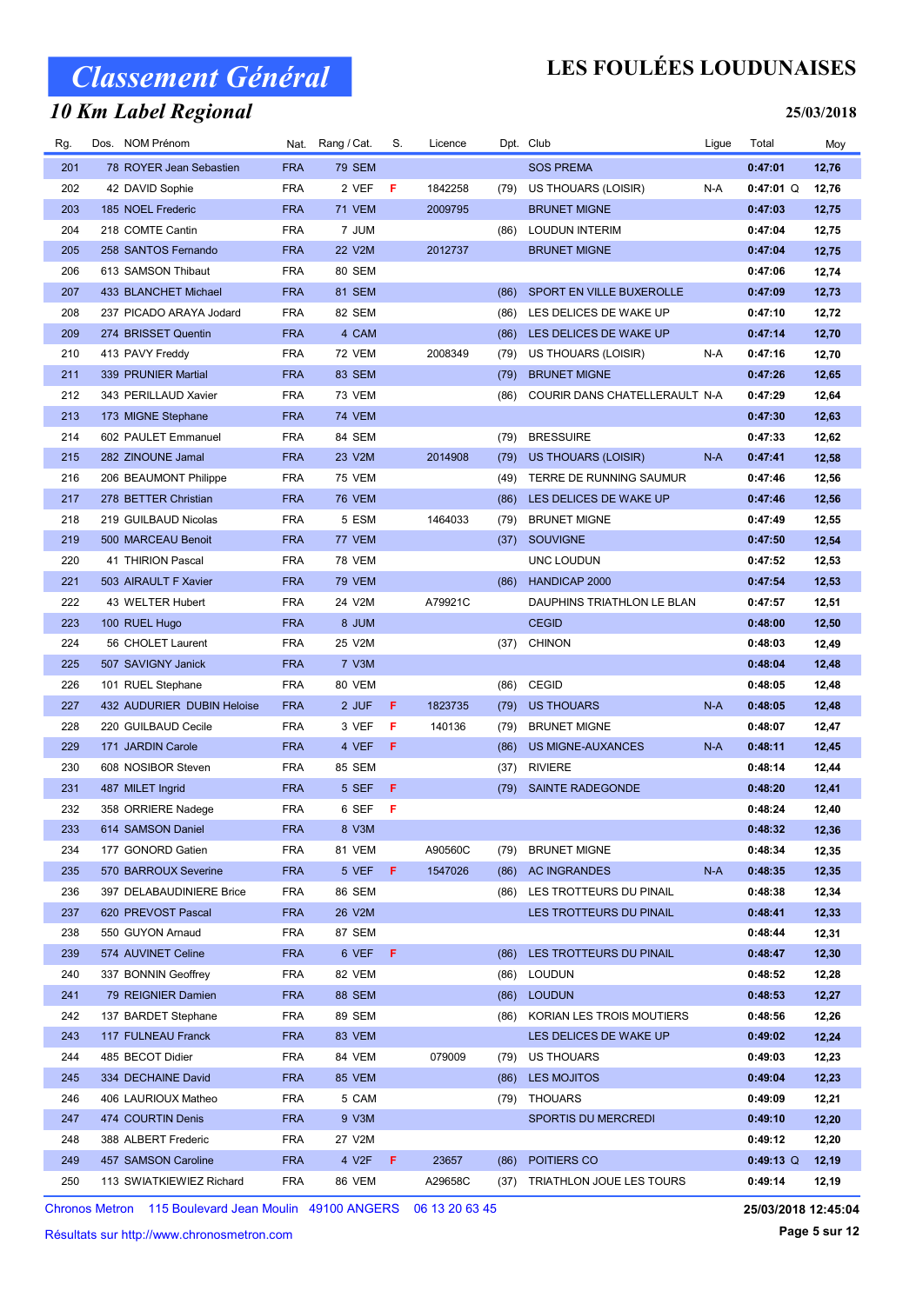### 10 Km Label Regional

## LES FOULÉES LOUDUNAISES

#### 25/03/2018

| Rg. | Dos. NOM Prénom            |            | Nat. Rang / Cat. | S. | Licence |      | Dpt. Club                      | Ligue | Total       | Moy   |
|-----|----------------------------|------------|------------------|----|---------|------|--------------------------------|-------|-------------|-------|
| 201 | 78 ROYER Jean Sebastien    | <b>FRA</b> | <b>79 SEM</b>    |    |         |      | <b>SOS PREMA</b>               |       | 0:47:01     | 12,76 |
| 202 | 42 DAVID Sophie            | <b>FRA</b> | 2 VEF            | F  | 1842258 | (79) | US THOUARS (LOISIR)            | N-A   | $0:47:01$ Q | 12,76 |
| 203 | 185 NOEL Frederic          | <b>FRA</b> | <b>71 VEM</b>    |    | 2009795 |      | <b>BRUNET MIGNE</b>            |       | 0:47:03     | 12,75 |
| 204 | 218 COMTE Cantin           | <b>FRA</b> | 7 JUM            |    |         | (86) | <b>LOUDUN INTERIM</b>          |       | 0:47:04     | 12,75 |
| 205 | 258 SANTOS Fernando        | <b>FRA</b> | 22 V2M           |    | 2012737 |      | <b>BRUNET MIGNE</b>            |       | 0:47:04     | 12,75 |
| 206 | 613 SAMSON Thibaut         | <b>FRA</b> | 80 SEM           |    |         |      |                                |       | 0:47:06     | 12,74 |
| 207 | 433 BLANCHET Michael       | <b>FRA</b> | 81 SEM           |    |         | (86) | SPORT EN VILLE BUXEROLLE       |       | 0:47:09     | 12,73 |
| 208 | 237 PICADO ARAYA Jodard    | <b>FRA</b> | 82 SEM           |    |         | (86) | LES DELICES DE WAKE UP         |       | 0:47:10     | 12,72 |
| 209 | 274 BRISSET Quentin        | <b>FRA</b> | 4 CAM            |    |         | (86) | LES DELICES DE WAKE UP         |       | 0:47:14     | 12,70 |
| 210 | 413 PAVY Freddy            | <b>FRA</b> | <b>72 VEM</b>    |    | 2008349 | (79) | US THOUARS (LOISIR)            | N-A   | 0:47:16     | 12,70 |
| 211 | 339 PRUNIER Martial        | <b>FRA</b> | 83 SEM           |    |         | (79) | <b>BRUNET MIGNE</b>            |       | 0:47:26     | 12,65 |
| 212 | 343 PERILLAUD Xavier       | <b>FRA</b> | 73 VEM           |    |         | (86) | COURIR DANS CHATELLERAULT N-A  |       | 0:47:29     | 12,64 |
| 213 | 173 MIGNE Stephane         | <b>FRA</b> | <b>74 VEM</b>    |    |         |      |                                |       | 0:47:30     | 12,63 |
| 214 | 602 PAULET Emmanuel        | <b>FRA</b> | 84 SEM           |    |         | (79) | <b>BRESSUIRE</b>               |       | 0:47:33     | 12,62 |
| 215 | 282 ZINOUNE Jamal          | <b>FRA</b> | 23 V2M           |    | 2014908 | (79) | US THOUARS (LOISIR)            | $N-A$ | 0:47:41     | 12,58 |
| 216 | 206 BEAUMONT Philippe      | <b>FRA</b> | <b>75 VEM</b>    |    |         | (49) | TERRE DE RUNNING SAUMUR        |       | 0:47:46     | 12,56 |
| 217 | 278 BETTER Christian       | <b>FRA</b> | <b>76 VEM</b>    |    |         | (86) | LES DELICES DE WAKE UP         |       | 0:47:46     | 12,56 |
| 218 | 219 GUILBAUD Nicolas       | <b>FRA</b> | 5 ESM            |    | 1464033 | (79) | <b>BRUNET MIGNE</b>            |       | 0:47:49     | 12,55 |
| 219 | 500 MARCEAU Benoit         | <b>FRA</b> | 77 VEM           |    |         | (37) | <b>SOUVIGNE</b>                |       | 0:47:50     | 12,54 |
| 220 | 41 THIRION Pascal          | <b>FRA</b> | 78 VEM           |    |         |      | UNC LOUDUN                     |       | 0:47:52     | 12,53 |
| 221 | 503 AIRAULT F Xavier       | <b>FRA</b> | <b>79 VEM</b>    |    |         | (86) | HANDICAP 2000                  |       | 0:47:54     | 12,53 |
| 222 | 43 WELTER Hubert           | <b>FRA</b> | 24 V2M           |    | A79921C |      | DAUPHINS TRIATHLON LE BLAN     |       | 0:47:57     | 12,51 |
| 223 | 100 RUEL Hugo              | <b>FRA</b> | 8 JUM            |    |         |      | <b>CEGID</b>                   |       | 0:48:00     | 12,50 |
| 224 | 56 CHOLET Laurent          | <b>FRA</b> | 25 V2M           |    |         | (37) | <b>CHINON</b>                  |       | 0:48:03     | 12,49 |
| 225 | 507 SAVIGNY Janick         | <b>FRA</b> | 7 V3M            |    |         |      |                                |       | 0:48:04     | 12,48 |
| 226 | 101 RUEL Stephane          | <b>FRA</b> | 80 VEM           |    |         | (86) | CEGID                          |       | 0:48:05     | 12,48 |
| 227 | 432 AUDURIER DUBIN Heloise | <b>FRA</b> | 2 JUF            | F  | 1823735 | (79) | <b>US THOUARS</b>              | $N-A$ | 0:48:05     | 12,48 |
| 228 | 220 GUILBAUD Cecile        | <b>FRA</b> | 3 VEF            | F  | 140136  | (79) | <b>BRUNET MIGNE</b>            |       | 0:48:07     | 12,47 |
| 229 | 171 JARDIN Carole          | <b>FRA</b> | 4 VEF            | F  |         | (86) | US MIGNE-AUXANCES              | $N-A$ | 0:48:11     | 12,45 |
| 230 | 608 NOSIBOR Steven         | <b>FRA</b> | 85 SEM           |    |         | (37) | <b>RIVIERE</b>                 |       | 0:48:14     | 12,44 |
| 231 | 487 MILET Ingrid           | <b>FRA</b> | 5 SEF            | F  |         |      | (79) SAINTE RADEGONDE          |       | 0:48:20     | 12,41 |
| 232 | 358 ORRIERE Nadege         | <b>FRA</b> | 6 SEF            | F  |         |      |                                |       | 0:48:24     | 12,40 |
| 233 | 614 SAMSON Daniel          | <b>FRA</b> | 8 V3M            |    |         |      |                                |       | 0:48:32     | 12,36 |
| 234 | 177 GONORD Gatien          | <b>FRA</b> | 81 VEM           |    | A90560C | (79) | <b>BRUNET MIGNE</b>            |       | 0:48:34     | 12,35 |
| 235 | 570 BARROUX Severine       | <b>FRA</b> | 5 VEF            | F  | 1547026 | (86) | <b>AC INGRANDES</b>            | $N-A$ | 0:48:35     | 12,35 |
| 236 | 397 DELABAUDINIERE Brice   | <b>FRA</b> | 86 SEM           |    |         | (86) | LES TROTTEURS DU PINAIL        |       | 0:48:38     | 12,34 |
| 237 | 620 PREVOST Pascal         | <b>FRA</b> | 26 V2M           |    |         |      | LES TROTTEURS DU PINAIL        |       | 0:48:41     | 12,33 |
| 238 | 550 GUYON Arnaud           | <b>FRA</b> | 87 SEM           |    |         |      |                                |       | 0:48:44     | 12,31 |
| 239 | 574 AUVINET Celine         | <b>FRA</b> | 6 VEF F          |    |         | (86) | LES TROTTEURS DU PINAIL        |       | 0:48:47     | 12,30 |
| 240 | 337 BONNIN Geoffrey        | <b>FRA</b> | 82 VEM           |    |         | (86) | LOUDUN                         |       | 0:48:52     | 12,28 |
| 241 | 79 REIGNIER Damien         | <b>FRA</b> | <b>88 SEM</b>    |    |         | (86) | <b>LOUDUN</b>                  |       | 0:48:53     | 12,27 |
| 242 | 137 BARDET Stephane        | <b>FRA</b> | 89 SEM           |    |         |      | (86) KORIAN LES TROIS MOUTIERS |       | 0:48:56     | 12,26 |
| 243 | 117 FULNEAU Franck         | <b>FRA</b> | 83 VEM           |    |         |      | LES DELICES DE WAKE UP         |       | 0:49:02     | 12,24 |
| 244 | 485 BECOT Didier           | <b>FRA</b> | 84 VEM           |    | 079009  | (79) | US THOUARS                     |       | 0:49:03     | 12,23 |
| 245 | 334 DECHAINE David         | <b>FRA</b> | 85 VEM           |    |         | (86) | LES MOJITOS                    |       | 0:49:04     | 12,23 |
| 246 | 406 LAURIOUX Matheo        | <b>FRA</b> | 5 CAM            |    |         |      | (79) THOUARS                   |       | 0:49:09     | 12,21 |
| 247 | 474 COURTIN Denis          | <b>FRA</b> | 9 V3M            |    |         |      | SPORTIS DU MERCREDI            |       | 0:49:10     | 12,20 |
| 248 | 388 ALBERT Frederic        | <b>FRA</b> | 27 V2M           |    |         |      |                                |       | 0:49:12     | 12,20 |
| 249 | 457 SAMSON Caroline        | <b>FRA</b> | 4 V2F            | F. | 23657   | (86) | POITIERS CO                    |       | $0:49:13$ Q | 12,19 |
| 250 | 113 SWIATKIEWIEZ Richard   | <b>FRA</b> | 86 VEM           |    | A29658C | (37) | TRIATHLON JOUE LES TOURS       |       | 0:49:14     | 12,19 |

Chronos Metron 115 Boulevard Jean Moulin 49100 ANGERS 06 13 20 63 45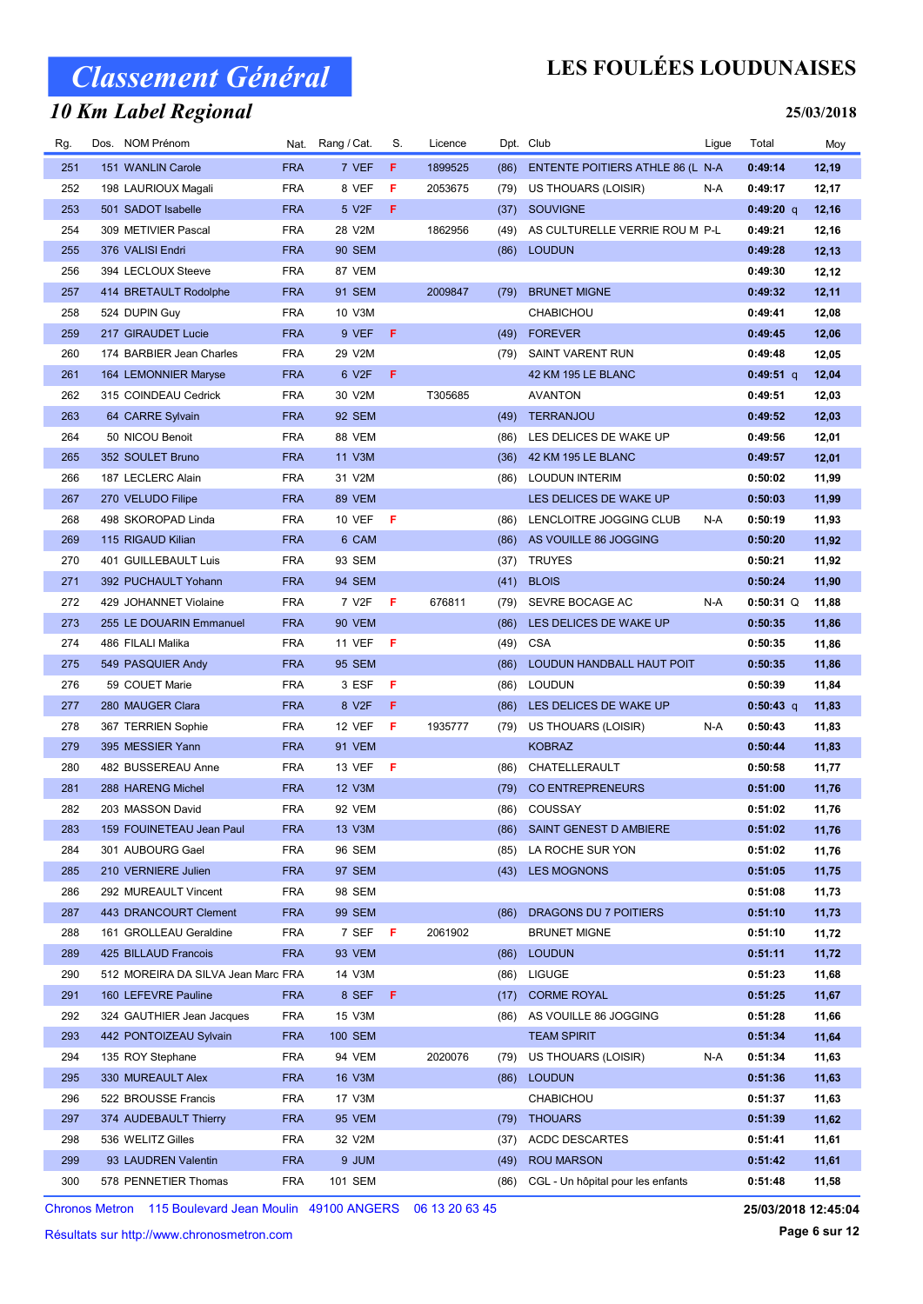### 10 Km Label Regional

## LES FOULÉES LOUDUNAISES

#### 25/03/2018

| Rg.        | Dos. NOM Prénom                    |            | Nat. Rang / Cat.   | S.  | Licence |      | Dpt. Club                         | Ligue | Total       | Moy   |
|------------|------------------------------------|------------|--------------------|-----|---------|------|-----------------------------------|-------|-------------|-------|
| 251        | 151 WANLIN Carole                  | <b>FRA</b> | 7 VEF              | F   | 1899525 | (86) | ENTENTE POITIERS ATHLE 86 (L N-A  |       | 0:49:14     | 12,19 |
| 252        | 198 LAURIOUX Magali                | <b>FRA</b> | 8 VEF              | F   | 2053675 | (79) | US THOUARS (LOISIR)               | N-A   | 0:49:17     | 12,17 |
| 253        | 501 SADOT Isabelle                 | <b>FRA</b> | 5 V2F              | F   |         | (37) | <b>SOUVIGNE</b>                   |       | $0:49:20$ q | 12,16 |
| 254        | 309 METIVIER Pascal                | <b>FRA</b> | 28 V2M             |     | 1862956 | (49) | AS CULTURELLE VERRIE ROU M P-L    |       | 0:49:21     | 12,16 |
| 255        | 376 VALISI Endri                   | <b>FRA</b> | <b>90 SEM</b>      |     |         |      | (86) LOUDUN                       |       | 0:49:28     | 12,13 |
| 256        | 394 LECLOUX Steeve                 | <b>FRA</b> | 87 VEM             |     |         |      |                                   |       | 0:49:30     | 12,12 |
| 257        | 414 BRETAULT Rodolphe              | <b>FRA</b> | 91 SEM             |     | 2009847 | (79) | <b>BRUNET MIGNE</b>               |       | 0:49:32     | 12,11 |
| 258        | 524 DUPIN Guy                      | <b>FRA</b> | 10 V3M             |     |         |      | <b>CHABICHOU</b>                  |       | 0:49:41     | 12,08 |
| 259        | 217 GIRAUDET Lucie                 | <b>FRA</b> | 9 VEF              | F   |         | (49) | <b>FOREVER</b>                    |       | 0:49:45     | 12,06 |
| 260        | 174 BARBIER Jean Charles           | <b>FRA</b> | 29 V2M             |     |         | (79) | SAINT VARENT RUN                  |       | 0:49:48     | 12,05 |
| 261        | 164 LEMONNIER Maryse               | <b>FRA</b> | 6 V2F              | F   |         |      | 42 KM 195 LE BLANC                |       | $0:49:51$ q | 12,04 |
| 262        | 315 COINDEAU Cedrick               | <b>FRA</b> | 30 V2M             |     | T305685 |      | <b>AVANTON</b>                    |       | 0:49:51     | 12,03 |
| 263        | 64 CARRE Sylvain                   | <b>FRA</b> | 92 SEM             |     |         | (49) | <b>TERRANJOU</b>                  |       | 0:49:52     | 12,03 |
| 264        | 50 NICOU Benoit                    | <b>FRA</b> | 88 VEM             |     |         | (86) | LES DELICES DE WAKE UP            |       | 0:49:56     | 12,01 |
| 265        | 352 SOULET Bruno                   | <b>FRA</b> | 11 V3M             |     |         | (36) | 42 KM 195 LE BLANC                |       | 0:49:57     | 12,01 |
| 266        | 187 LECLERC Alain                  | <b>FRA</b> | 31 V2M             |     |         | (86) | <b>LOUDUN INTERIM</b>             |       | 0:50:02     | 11,99 |
| 267        | 270 VELUDO Filipe                  | <b>FRA</b> | 89 VEM             |     |         |      | LES DELICES DE WAKE UP            |       | 0:50:03     | 11,99 |
| 268        | 498 SKOROPAD Linda                 | <b>FRA</b> | <b>10 VEF</b>      | - F |         | (86) | LENCLOITRE JOGGING CLUB           | N-A   | 0:50:19     | 11,93 |
| 269        | 115 RIGAUD Kilian                  | <b>FRA</b> | 6 CAM              |     |         | (86) | AS VOUILLE 86 JOGGING             |       | 0:50:20     | 11,92 |
| 270        | 401 GUILLEBAULT Luis               | <b>FRA</b> | 93 SEM             |     |         | (37) | <b>TRUYES</b>                     |       | 0:50:21     | 11,92 |
| 271        | 392 PUCHAULT Yohann                | <b>FRA</b> | 94 SEM             |     |         | (41) | <b>BLOIS</b>                      |       | 0:50:24     | 11,90 |
| 272        | 429 JOHANNET Violaine              | <b>FRA</b> | 7 V <sub>2</sub> F | F   | 676811  | (79) | SEVRE BOCAGE AC                   | N-A   | $0:50:31$ Q | 11,88 |
| 273        | 255 LE DOUARIN Emmanuel            | <b>FRA</b> | 90 VEM             |     |         | (86) | LES DELICES DE WAKE UP            |       | 0:50:35     | 11,86 |
| 274        | 486 FILALI Malika                  | <b>FRA</b> | <b>11 VEF</b>      | Æ   |         | (49) | <b>CSA</b>                        |       | 0:50:35     | 11,86 |
| 275        | 549 PASQUIER Andy                  | <b>FRA</b> | <b>95 SEM</b>      |     |         | (86) | LOUDUN HANDBALL HAUT POIT         |       | 0:50:35     | 11,86 |
| 276        | 59 COUET Marie                     | <b>FRA</b> | 3 ESF              | F   |         | (86) | <b>LOUDUN</b>                     |       | 0:50:39     | 11,84 |
| 277        | 280 MAUGER Clara                   | <b>FRA</b> | 8 V2F              | F.  |         | (86) | LES DELICES DE WAKE UP            |       | $0:50:43$ q | 11,83 |
| 278        | 367 TERRIEN Sophie                 | <b>FRA</b> | 12 VEF             | -F  | 1935777 | (79) | US THOUARS (LOISIR)               | N-A   | 0:50:43     | 11,83 |
| 279        | 395 MESSIER Yann                   | <b>FRA</b> | 91 VEM             |     |         |      | <b>KOBRAZ</b>                     |       | 0:50:44     | 11,83 |
| 280        | 482 BUSSEREAU Anne                 | <b>FRA</b> | 13 VEF             | F   |         | (86) | CHATELLERAULT                     |       | 0:50:58     | 11,77 |
| 281        | 288 HARENG Michel                  | <b>FRA</b> | 12 V3M             |     |         | (79) | <b>CO ENTREPRENEURS</b>           |       | 0:51:00     | 11,76 |
| 282        | 203 MASSON David                   | <b>FRA</b> | 92 VEM             |     |         |      | (86) COUSSAY                      |       | 0:51:02     | 11,76 |
| 283        | 159 FOUINETEAU Jean Paul           | <b>FRA</b> | 13 V3M             |     |         |      | (86) SAINT GENEST D AMBIERE       |       | 0:51:02     | 11,76 |
| 284        | 301 AUBOURG Gael                   | FRA        | 96 SEM             |     |         |      | (85) LA ROCHE SUR YON             |       | 0:51:02     | 11,76 |
| 285        | 210 VERNIERE Julien                | <b>FRA</b> | 97 SEM             |     |         |      | (43) LES MOGNONS                  |       | 0:51:05     | 11,75 |
| 286        | 292 MUREAULT Vincent               | <b>FRA</b> | 98 SEM             |     |         |      |                                   |       | 0:51:08     | 11,73 |
| 287        | 443 DRANCOURT Clement              | <b>FRA</b> | 99 SEM             |     |         | (86) | DRAGONS DU 7 POITIERS             |       | 0:51:10     | 11,73 |
| 288        | 161 GROLLEAU Geraldine             | <b>FRA</b> | 7 SEF              | - F | 2061902 |      | <b>BRUNET MIGNE</b>               |       | 0:51:10     | 11,72 |
| 289        | 425 BILLAUD Francois               | <b>FRA</b> | 93 VEM             |     |         |      | <b>LOUDUN</b>                     |       | 0:51:11     | 11,72 |
| 290        | 512 MOREIRA DA SILVA Jean Marc FRA |            | 14 V3M             |     |         | (86) | (86) LIGUGE                       |       | 0:51:23     | 11,68 |
| 291        | 160 LEFEVRE Pauline                | <b>FRA</b> | 8 SEF              | F.  |         | (17) | <b>CORME ROYAL</b>                |       | 0:51:25     | 11,67 |
|            |                                    |            |                    |     |         |      |                                   |       |             |       |
| 292        | 324 GAUTHIER Jean Jacques          | <b>FRA</b> | 15 V3M             |     |         | (86) | AS VOUILLE 86 JOGGING             |       | 0:51:28     | 11,66 |
| 293        | 442 PONTOIZEAU Sylvain             | <b>FRA</b> | 100 SEM            |     |         |      | <b>TEAM SPIRIT</b>                |       | 0:51:34     | 11,64 |
| 294        | 135 ROY Stephane                   | <b>FRA</b> | 94 VEM             |     | 2020076 | (79) | US THOUARS (LOISIR)               | N-A   | 0:51:34     | 11,63 |
| 295        | 330 MUREAULT Alex                  | <b>FRA</b> | 16 V3M             |     |         |      | (86) LOUDUN                       |       | 0:51:36     | 11,63 |
| 296        | 522 BROUSSE Francis                | <b>FRA</b> | 17 V3M             |     |         |      | CHABICHOU                         |       | 0:51:37     | 11,63 |
| 297<br>298 | 374 AUDEBAULT Thierry              | <b>FRA</b> | <b>95 VEM</b>      |     |         |      | (79) THOUARS                      |       | 0:51:39     | 11,62 |
|            | 536 WELITZ Gilles                  | <b>FRA</b> | 32 V2M             |     |         | (37) | <b>ACDC DESCARTES</b>             |       | 0:51:41     | 11,61 |
| 299        | 93 LAUDREN Valentin                | <b>FRA</b> | 9 JUM              |     |         | (49) | <b>ROU MARSON</b>                 |       | 0:51:42     | 11,61 |
| 300        | 578 PENNETIER Thomas               | <b>FRA</b> | 101 SEM            |     |         | (86) | CGL - Un hôpital pour les enfants |       | 0:51:48     | 11,58 |

Chronos Metron 115 Boulevard Jean Moulin 49100 ANGERS 06 13 20 63 45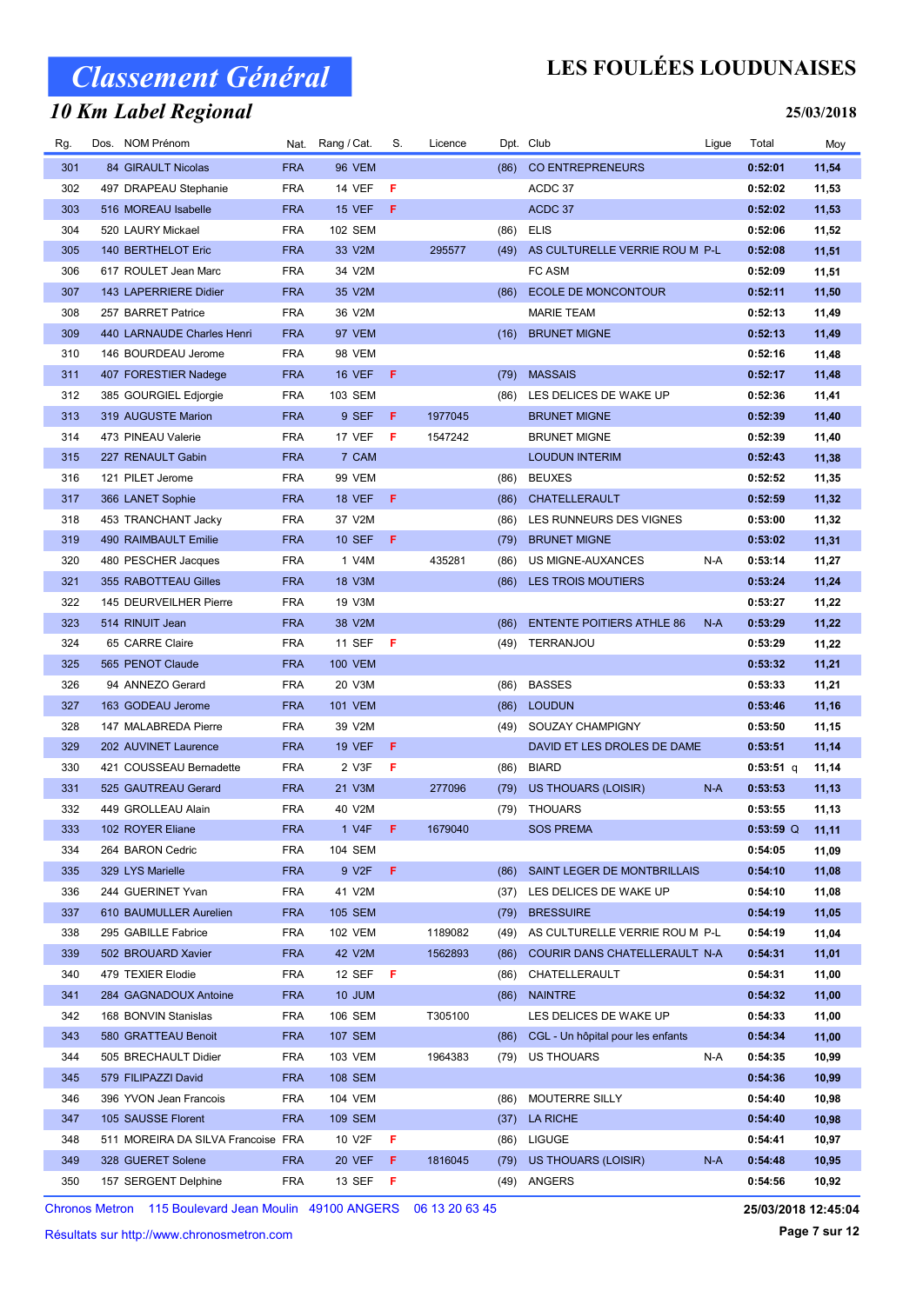### 10 Km Label Regional

## LES FOULÉES LOUDUNAISES

#### 25/03/2018

| Rg. | Dos. NOM Prénom                    |            | Nat. Rang / Cat. | S.  | Licence |      | Dpt. Club                         | Ligue | Total       | Moy   |
|-----|------------------------------------|------------|------------------|-----|---------|------|-----------------------------------|-------|-------------|-------|
| 301 | 84 GIRAULT Nicolas                 | <b>FRA</b> | <b>96 VEM</b>    |     |         | (86) | <b>CO ENTREPRENEURS</b>           |       | 0:52:01     | 11,54 |
| 302 | 497 DRAPEAU Stephanie              | <b>FRA</b> | <b>14 VEF</b>    | F   |         |      | ACDC 37                           |       | 0:52:02     | 11,53 |
| 303 | 516 MOREAU Isabelle                | <b>FRA</b> | <b>15 VEF</b>    | F   |         |      | ACDC 37                           |       | 0:52:02     | 11,53 |
| 304 | 520 LAURY Mickael                  | <b>FRA</b> | 102 SEM          |     |         | (86) | <b>ELIS</b>                       |       | 0:52:06     | 11,52 |
| 305 | 140 BERTHELOT Eric                 | <b>FRA</b> | 33 V2M           |     | 295577  | (49) | AS CULTURELLE VERRIE ROU M P-L    |       | 0:52:08     | 11,51 |
| 306 | 617 ROULET Jean Marc               | <b>FRA</b> | 34 V2M           |     |         |      | FC ASM                            |       | 0:52:09     | 11,51 |
| 307 | 143 LAPERRIERE Didier              | <b>FRA</b> | 35 V2M           |     |         | (86) | ECOLE DE MONCONTOUR               |       | 0:52:11     | 11,50 |
| 308 | 257 BARRET Patrice                 | <b>FRA</b> | 36 V2M           |     |         |      | <b>MARIE TEAM</b>                 |       | 0:52:13     | 11,49 |
| 309 | 440 LARNAUDE Charles Henri         | <b>FRA</b> | 97 VEM           |     |         | (16) | <b>BRUNET MIGNE</b>               |       | 0:52:13     | 11,49 |
| 310 | 146 BOURDEAU Jerome                | <b>FRA</b> | 98 VEM           |     |         |      |                                   |       | 0:52:16     | 11,48 |
| 311 | 407 FORESTIER Nadege               | <b>FRA</b> | <b>16 VEF</b>    | F   |         | (79) | <b>MASSAIS</b>                    |       | 0:52:17     | 11,48 |
| 312 | 385 GOURGIEL Edjorgie              | <b>FRA</b> | 103 SEM          |     |         | (86) | LES DELICES DE WAKE UP            |       | 0:52:36     | 11,41 |
| 313 | 319 AUGUSTE Marion                 | <b>FRA</b> | 9 SEF            | F.  | 1977045 |      | <b>BRUNET MIGNE</b>               |       | 0:52:39     | 11,40 |
| 314 | 473 PINEAU Valerie                 | <b>FRA</b> | 17 VEF           | F   | 1547242 |      | <b>BRUNET MIGNE</b>               |       | 0:52:39     | 11,40 |
| 315 | 227 RENAULT Gabin                  | <b>FRA</b> | 7 CAM            |     |         |      | <b>LOUDUN INTERIM</b>             |       | 0:52:43     | 11,38 |
| 316 | 121 PILET Jerome                   | <b>FRA</b> | <b>99 VEM</b>    |     |         | (86) | <b>BEUXES</b>                     |       | 0:52:52     | 11,35 |
| 317 | 366 LANET Sophie                   | <b>FRA</b> | <b>18 VEF</b>    | F.  |         | (86) | CHATELLERAULT                     |       | 0:52:59     | 11,32 |
| 318 | 453 TRANCHANT Jacky                | <b>FRA</b> | 37 V2M           |     |         | (86) | LES RUNNEURS DES VIGNES           |       | 0:53:00     | 11,32 |
| 319 | 490 RAIMBAULT Emilie               | <b>FRA</b> | <b>10 SEF</b>    | F   |         | (79) | <b>BRUNET MIGNE</b>               |       | 0:53:02     | 11,31 |
| 320 | 480 PESCHER Jacques                | <b>FRA</b> | 1 V4M            |     | 435281  | (86) | US MIGNE-AUXANCES                 | N-A   | 0:53:14     | 11,27 |
| 321 | 355 RABOTTEAU Gilles               | <b>FRA</b> | 18 V3M           |     |         | (86) | <b>LES TROIS MOUTIERS</b>         |       | 0:53:24     | 11,24 |
| 322 | 145 DEURVEILHER Pierre             | <b>FRA</b> | 19 V3M           |     |         |      |                                   |       | 0:53:27     | 11,22 |
| 323 | 514 RINUIT Jean                    | <b>FRA</b> | 38 V2M           |     |         | (86) | <b>ENTENTE POITIERS ATHLE 86</b>  | $N-A$ | 0:53:29     | 11,22 |
| 324 | 65 CARRE Claire                    | <b>FRA</b> | <b>11 SEF</b>    | -F  |         | (49) | TERRANJOU                         |       | 0:53:29     | 11,22 |
| 325 | 565 PENOT Claude                   | <b>FRA</b> | <b>100 VEM</b>   |     |         |      |                                   |       | 0:53:32     | 11,21 |
| 326 | 94 ANNEZO Gerard                   | <b>FRA</b> | 20 V3M           |     |         | (86) | <b>BASSES</b>                     |       | 0:53:33     | 11,21 |
| 327 | 163 GODEAU Jerome                  | <b>FRA</b> | <b>101 VEM</b>   |     |         | (86) | <b>LOUDUN</b>                     |       | 0:53:46     | 11,16 |
| 328 | 147 MALABREDA Pierre               | <b>FRA</b> | 39 V2M           |     |         |      | (49) SOUZAY CHAMPIGNY             |       | 0:53:50     | 11,15 |
| 329 | 202 AUVINET Laurence               | <b>FRA</b> | <b>19 VEF</b>    | F   |         |      | DAVID ET LES DROLES DE DAME       |       | 0:53:51     | 11,14 |
| 330 | 421 COUSSEAU Bernadette            | <b>FRA</b> | 2 V3F            | F   |         | (86) | <b>BIARD</b>                      |       | $0:53:51$ q | 11,14 |
| 331 | 525 GAUTREAU Gerard                | <b>FRA</b> | 21 V3M           |     | 277096  | (79) | US THOUARS (LOISIR)               | $N-A$ | 0:53:53     | 11,13 |
| 332 | 449 GROLLEAU Alain                 | <b>FRA</b> | 40 V2M           |     |         |      | (79) THOUARS                      |       | 0:53:55     | 11,13 |
| 333 | 102 ROYER Eliane                   | <b>FRA</b> | 1 V4F            | -F. | 1679040 |      | <b>SOS PREMA</b>                  |       | $0:53:59$ Q | 11,11 |
| 334 | 264 BARON Cedric                   | <b>FRA</b> | <b>104 SEM</b>   |     |         |      |                                   |       | 0:54:05     | 11,09 |
| 335 | 329 LYS Marielle                   | <b>FRA</b> | 9 V2F            | F.  |         | (86) | SAINT LEGER DE MONTBRILLAIS       |       | 0:54:10     | 11,08 |
| 336 | 244 GUERINET Yvan                  | <b>FRA</b> | 41 V2M           |     |         | (37) | LES DELICES DE WAKE UP            |       | 0:54:10     | 11,08 |
| 337 | 610 BAUMULLER Aurelien             | <b>FRA</b> | 105 SEM          |     |         | (79) | <b>BRESSUIRE</b>                  |       | 0:54:19     | 11,05 |
| 338 | 295 GABILLE Fabrice                | <b>FRA</b> | <b>102 VEM</b>   |     | 1189082 | (49) | AS CULTURELLE VERRIE ROU M P-L    |       | 0:54:19     | 11,04 |
| 339 | 502 BROUARD Xavier                 | <b>FRA</b> | 42 V2M           |     | 1562893 | (86) | COURIR DANS CHATELLERAULT N-A     |       | 0:54:31     | 11,01 |
| 340 | 479 TEXIER Elodie                  | <b>FRA</b> | 12 SEF           | - F |         | (86) | CHATELLERAULT                     |       | 0:54:31     | 11,00 |
| 341 | 284 GAGNADOUX Antoine              | <b>FRA</b> | <b>10 JUM</b>    |     |         |      | (86) NAINTRE                      |       | 0:54:32     | 11,00 |
| 342 | 168 BONVIN Stanislas               | <b>FRA</b> | 106 SEM          |     | T305100 |      | LES DELICES DE WAKE UP            |       | 0:54:33     | 11,00 |
| 343 | 580 GRATTEAU Benoit                | <b>FRA</b> | <b>107 SEM</b>   |     |         | (86) | CGL - Un hôpital pour les enfants |       | 0:54:34     | 11,00 |
| 344 | 505 BRECHAULT Didier               | <b>FRA</b> | 103 VEM          |     | 1964383 | (79) | US THOUARS                        | N-A   | 0:54:35     | 10,99 |
| 345 | 579 FILIPAZZI David                | <b>FRA</b> | 108 SEM          |     |         |      |                                   |       | 0:54:36     | 10,99 |
| 346 | 396 YVON Jean Francois             | <b>FRA</b> | 104 VEM          |     |         | (86) | MOUTERRE SILLY                    |       | 0:54:40     | 10,98 |
| 347 | 105 SAUSSE Florent                 | <b>FRA</b> | 109 SEM          |     |         | (37) | LA RICHE                          |       | 0:54:40     | 10,98 |
| 348 | 511 MOREIRA DA SILVA Francoise FRA |            | 10 V2F           | F   |         | (86) | LIGUGE                            |       | 0:54:41     | 10,97 |
| 349 | 328 GUERET Solene                  | <b>FRA</b> | 20 VEF           | F.  | 1816045 | (79) | US THOUARS (LOISIR)               | $N-A$ | 0:54:48     | 10,95 |
| 350 | 157 SERGENT Delphine               | <b>FRA</b> | 13 SEF           | - F |         |      | (49) ANGERS                       |       | 0:54:56     | 10,92 |
|     |                                    |            |                  |     |         |      |                                   |       |             |       |

Chronos Metron 115 Boulevard Jean Moulin 49100 ANGERS 06 13 20 63 45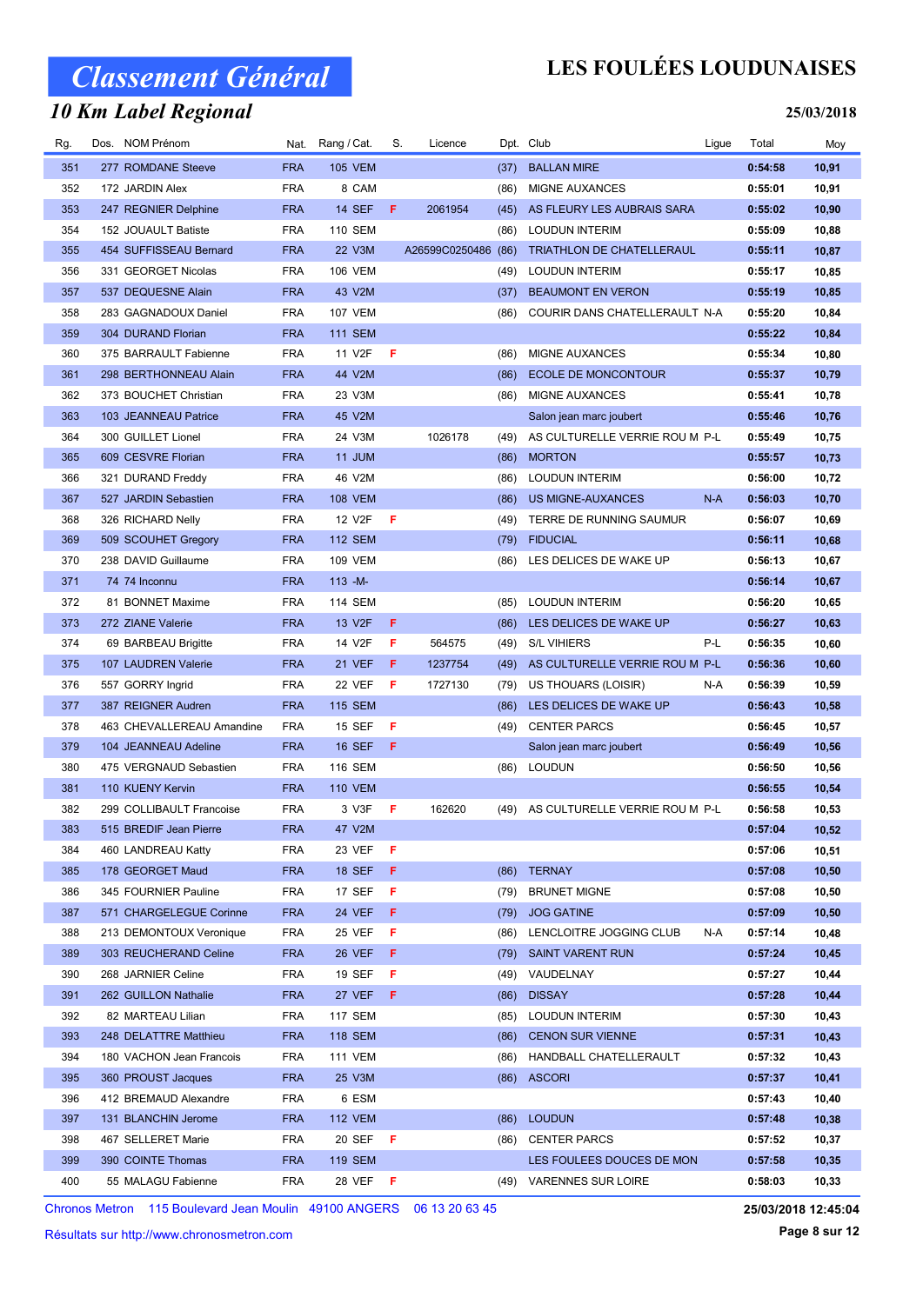### 10 Km Label Regional

## LES FOULÉES LOUDUNAISES

#### 25/03/2018

| Rg. | Dos. NOM Prénom           | Nat.       | Rang / Cat.         | S. | Licence        |      | Dpt. Club                      | Ligue | Total   | Moy   |
|-----|---------------------------|------------|---------------------|----|----------------|------|--------------------------------|-------|---------|-------|
| 351 | 277 ROMDANE Steeve        | <b>FRA</b> | <b>105 VEM</b>      |    |                | (37) | <b>BALLAN MIRE</b>             |       | 0:54:58 | 10,91 |
| 352 | 172 JARDIN Alex           | <b>FRA</b> | 8 CAM               |    |                | (86) | MIGNE AUXANCES                 |       | 0:55:01 | 10,91 |
| 353 | 247 REGNIER Delphine      | <b>FRA</b> | <b>14 SEF</b>       | F. | 2061954        | (45) | AS FLEURY LES AUBRAIS SARA     |       | 0:55:02 | 10,90 |
| 354 | 152 JOUAULT Batiste       | <b>FRA</b> | 110 SEM             |    |                | (86) | <b>LOUDUN INTERIM</b>          |       | 0:55:09 | 10,88 |
| 355 | 454 SUFFISSEAU Bernard    | <b>FRA</b> | 22 V3M              |    | A26599C0250486 | (86) | TRIATHLON DE CHATELLERAUL      |       | 0:55:11 | 10,87 |
| 356 | 331 GEORGET Nicolas       | <b>FRA</b> | <b>106 VEM</b>      |    |                | (49) | <b>LOUDUN INTERIM</b>          |       | 0:55:17 | 10,85 |
| 357 | 537 DEQUESNE Alain        | <b>FRA</b> | 43 V2M              |    |                | (37) | <b>BEAUMONT EN VERON</b>       |       | 0:55:19 | 10,85 |
| 358 | 283 GAGNADOUX Daniel      | <b>FRA</b> | <b>107 VEM</b>      |    |                | (86) | COURIR DANS CHATELLERAULT N-A  |       | 0:55:20 | 10,84 |
| 359 | 304 DURAND Florian        | <b>FRA</b> | <b>111 SEM</b>      |    |                |      |                                |       | 0:55:22 | 10,84 |
| 360 | 375 BARRAULT Fabienne     | <b>FRA</b> | 11 V2F              | F  |                | (86) | MIGNE AUXANCES                 |       | 0:55:34 | 10,80 |
| 361 | 298 BERTHONNEAU Alain     | <b>FRA</b> | 44 V2M              |    |                | (86) | <b>ECOLE DE MONCONTOUR</b>     |       | 0:55:37 | 10,79 |
| 362 | 373 BOUCHET Christian     | <b>FRA</b> | 23 V3M              |    |                | (86) | MIGNE AUXANCES                 |       | 0:55:41 | 10,78 |
| 363 | 103 JEANNEAU Patrice      | <b>FRA</b> | 45 V2M              |    |                |      | Salon jean marc joubert        |       | 0:55:46 | 10,76 |
| 364 | 300 GUILLET Lionel        | <b>FRA</b> | 24 V3M              |    | 1026178        | (49) | AS CULTURELLE VERRIE ROU M P-L |       | 0:55:49 | 10,75 |
| 365 | 609 CESVRE Florian        | <b>FRA</b> | 11 JUM              |    |                | (86) | <b>MORTON</b>                  |       | 0:55:57 | 10,73 |
| 366 | 321 DURAND Freddy         | <b>FRA</b> | 46 V2M              |    |                | (86) | <b>LOUDUN INTERIM</b>          |       | 0:56:00 | 10,72 |
| 367 | 527 JARDIN Sebastien      | <b>FRA</b> | <b>108 VEM</b>      |    |                | (86) | <b>US MIGNE-AUXANCES</b>       | $N-A$ | 0:56:03 | 10,70 |
| 368 | 326 RICHARD Nelly         | <b>FRA</b> | 12 V2F              | F  |                | (49) | TERRE DE RUNNING SAUMUR        |       | 0:56:07 | 10,69 |
| 369 | 509 SCOUHET Gregory       | <b>FRA</b> | <b>112 SEM</b>      |    |                | (79) | <b>FIDUCIAL</b>                |       | 0:56:11 | 10,68 |
| 370 | 238 DAVID Guillaume       | <b>FRA</b> | <b>109 VEM</b>      |    |                | (86) | LES DELICES DE WAKE UP         |       | 0:56:13 | 10,67 |
| 371 | 74 74 Inconnu             | <b>FRA</b> | $113 - M -$         |    |                |      |                                |       | 0:56:14 | 10,67 |
| 372 | 81 BONNET Maxime          | <b>FRA</b> | 114 SEM             |    |                | (85) | <b>LOUDUN INTERIM</b>          |       | 0:56:20 | 10,65 |
| 373 | 272 ZIANE Valerie         | <b>FRA</b> | 13 V <sub>2</sub> F | F. |                | (86) | LES DELICES DE WAKE UP         |       | 0:56:27 | 10,63 |
| 374 | 69 BARBEAU Brigitte       | <b>FRA</b> | 14 V2F              | F  | 564575         | (49) | <b>S/L VIHIERS</b>             | P-L   | 0:56:35 | 10,60 |
| 375 | 107 LAUDREN Valerie       | <b>FRA</b> | <b>21 VEF</b>       | F  | 1237754        | (49) | AS CULTURELLE VERRIE ROU M P-L |       | 0:56:36 | 10,60 |
| 376 | 557 GORRY Ingrid          | <b>FRA</b> | 22 VEF              | F  | 1727130        | (79) | US THOUARS (LOISIR)            | N-A   | 0:56:39 | 10,59 |
| 377 | 387 REIGNER Audren        | <b>FRA</b> | <b>115 SEM</b>      |    |                | (86) | LES DELICES DE WAKE UP         |       | 0:56:43 | 10,58 |
| 378 | 463 CHEVALLEREAU Amandine | <b>FRA</b> | 15 SEF              | F  |                | (49) | <b>CENTER PARCS</b>            |       | 0:56:45 | 10,57 |
| 379 | 104 JEANNEAU Adeline      | <b>FRA</b> | <b>16 SEF</b>       | F  |                |      | Salon jean marc joubert        |       | 0:56:49 | 10,56 |
| 380 | 475 VERGNAUD Sebastien    | <b>FRA</b> | 116 SEM             |    |                | (86) | <b>LOUDUN</b>                  |       | 0:56:50 | 10,56 |
| 381 | 110 KUENY Kervin          | <b>FRA</b> | <b>110 VEM</b>      |    |                |      |                                |       | 0:56:55 | 10,54 |
| 382 | 299 COLLIBAULT Francoise  | <b>FRA</b> | 3 V3F               | F  | 162620         | (49) | AS CULTURELLE VERRIE ROU M P-L |       | 0:56:58 | 10,53 |
| 383 | 515 BREDIF Jean Pierre    | <b>FRA</b> | 47 V2M              |    |                |      |                                |       | 0:57:04 | 10,52 |
| 384 | 460 LANDREAU Katty        | FRA        | 23 VEF              | F  |                |      |                                |       | 0:57:06 | 10,51 |
| 385 | 178 GEORGET Maud          | <b>FRA</b> | 18 SEF              | F. |                |      | (86) TERNAY                    |       | 0:57:08 | 10,50 |
| 386 | 345 FOURNIER Pauline      | <b>FRA</b> | 17 SEF              | F. |                | (79) | <b>BRUNET MIGNE</b>            |       | 0:57:08 | 10,50 |
| 387 | 571 CHARGELEGUE Corinne   | <b>FRA</b> | <b>24 VEF</b>       | F. |                | (79) | <b>JOG GATINE</b>              |       | 0:57:09 | 10,50 |
| 388 | 213 DEMONTOUX Veronique   | <b>FRA</b> | 25 VEF              | F  |                | (86) | LENCLOITRE JOGGING CLUB        | N-A   | 0:57:14 | 10,48 |
| 389 | 303 REUCHERAND Celine     | <b>FRA</b> | 26 VEF              | F. |                | (79) | <b>SAINT VARENT RUN</b>        |       | 0:57:24 | 10,45 |
| 390 | 268 JARNIER Celine        | <b>FRA</b> | 19 SEF              | F. |                | (49) | VAUDELNAY                      |       | 0:57:27 | 10,44 |
| 391 | 262 GUILLON Nathalie      | <b>FRA</b> | 27 VEF              | F. |                | (86) | <b>DISSAY</b>                  |       | 0:57:28 | 10,44 |
| 392 | 82 MARTEAU Lilian         | <b>FRA</b> | <b>117 SEM</b>      |    |                | (85) | LOUDUN INTERIM                 |       | 0:57:30 | 10,43 |
| 393 | 248 DELATTRE Matthieu     | <b>FRA</b> | <b>118 SEM</b>      |    |                | (86) | <b>CENON SUR VIENNE</b>        |       | 0:57:31 | 10,43 |
| 394 | 180 VACHON Jean Francois  | <b>FRA</b> | <b>111 VEM</b>      |    |                | (86) | HANDBALL CHATELLERAULT         |       | 0:57:32 | 10,43 |
| 395 | 360 PROUST Jacques        | <b>FRA</b> | 25 V3M              |    |                |      | (86) ASCORI                    |       | 0:57:37 | 10,41 |
| 396 | 412 BREMAUD Alexandre     | <b>FRA</b> | 6 ESM               |    |                |      |                                |       | 0:57:43 | 10,40 |
| 397 | 131 BLANCHIN Jerome       | <b>FRA</b> | <b>112 VEM</b>      |    |                |      | (86) LOUDUN                    |       | 0:57:48 | 10,38 |
| 398 | 467 SELLERET Marie        | <b>FRA</b> | 20 SEF              | F  |                | (86) | <b>CENTER PARCS</b>            |       | 0:57:52 | 10,37 |
| 399 | 390 COINTE Thomas         | <b>FRA</b> | <b>119 SEM</b>      |    |                |      | LES FOULEES DOUCES DE MON      |       | 0:57:58 | 10,35 |
| 400 | 55 MALAGU Fabienne        | <b>FRA</b> | 28 VEF F            |    |                |      | (49) VARENNES SUR LOIRE        |       | 0:58:03 | 10,33 |
|     |                           |            |                     |    |                |      |                                |       |         |       |

Chronos Metron 115 Boulevard Jean Moulin 49100 ANGERS 06 13 20 63 45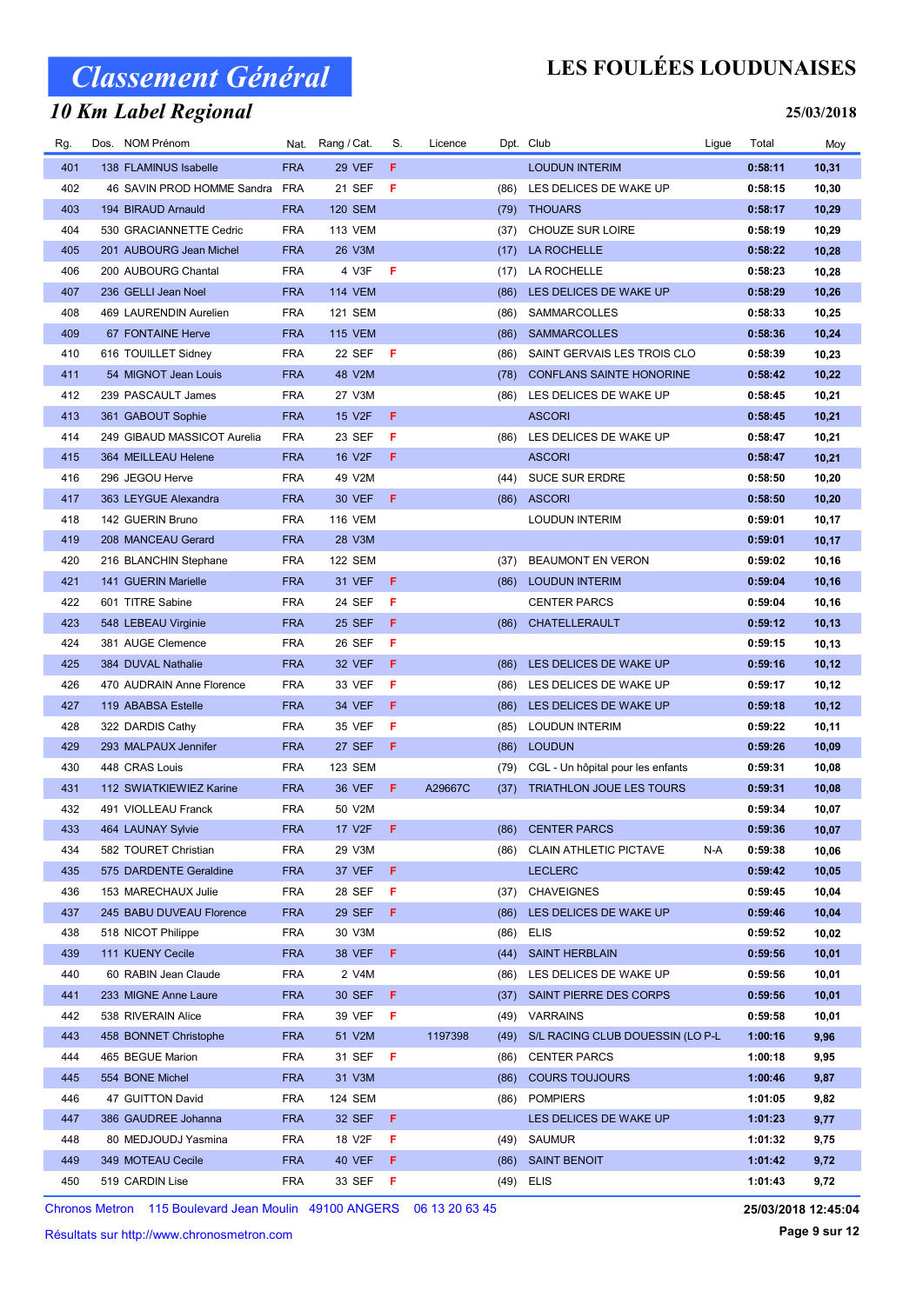### 10 Km Label Regional

## LES FOULÉES LOUDUNAISES

#### 25/03/2018

| Rg.        | Dos. NOM Prénom                                | Nat.                     | Rang / Cat.             | S.      | Licence |      | Dpt. Club                              | Ligue | Total              | Moy    |
|------------|------------------------------------------------|--------------------------|-------------------------|---------|---------|------|----------------------------------------|-------|--------------------|--------|
| 401        | 138 FLAMINUS Isabelle                          | <b>FRA</b>               | 29 VEF                  | F.      |         |      | <b>LOUDUN INTERIM</b>                  |       | 0:58:11            | 10,31  |
| 402        | 46 SAVIN PROD HOMME Sandra                     | FRA                      | 21 SEF                  | F       |         | (86) | LES DELICES DE WAKE UP                 |       | 0:58:15            | 10,30  |
| 403        | 194 BIRAUD Arnauld                             | <b>FRA</b>               | <b>120 SEM</b>          |         |         | (79) | <b>THOUARS</b>                         |       | 0:58:17            | 10,29  |
| 404        | 530 GRACIANNETTE Cedric                        | <b>FRA</b>               | <b>113 VEM</b>          |         |         | (37) | CHOUZE SUR LOIRE                       |       | 0:58:19            | 10,29  |
| 405        | 201 AUBOURG Jean Michel                        | <b>FRA</b>               | 26 V3M                  |         |         | (17) | LA ROCHELLE                            |       | 0:58:22            | 10,28  |
| 406        | 200 AUBOURG Chantal                            | <b>FRA</b>               | 4 V3F                   | F       |         | (17) | LA ROCHELLE                            |       | 0:58:23            | 10,28  |
| 407        | 236 GELLI Jean Noel                            | <b>FRA</b>               | <b>114 VEM</b>          |         |         | (86) | LES DELICES DE WAKE UP                 |       | 0:58:29            | 10,26  |
| 408        | 469 LAURENDIN Aurelien                         | <b>FRA</b>               | <b>121 SEM</b>          |         |         | (86) | SAMMARCOLLES                           |       | 0:58:33            | 10,25  |
| 409        | 67 FONTAINE Herve                              | <b>FRA</b>               | <b>115 VEM</b>          |         |         | (86) | <b>SAMMARCOLLES</b>                    |       | 0:58:36            | 10,24  |
| 410        | 616 TOUILLET Sidney                            | <b>FRA</b>               | 22 SEF                  | - F     |         | (86) | SAINT GERVAIS LES TROIS CLO            |       | 0:58:39            | 10,23  |
| 411        | 54 MIGNOT Jean Louis                           | <b>FRA</b>               | 48 V2M                  |         |         | (78) | <b>CONFLANS SAINTE HONORINE</b>        |       | 0:58:42            | 10,22  |
| 412        | 239 PASCAULT James                             | <b>FRA</b>               | 27 V3M                  |         |         | (86) | LES DELICES DE WAKE UP                 |       | 0:58:45            | 10,21  |
| 413        | 361 GABOUT Sophie                              | <b>FRA</b>               | 15 V2F                  | F.      |         |      | <b>ASCORI</b>                          |       | 0:58:45            | 10,21  |
| 414        | 249 GIBAUD MASSICOT Aurelia                    | <b>FRA</b>               | 23 SEF                  | F       |         | (86) | LES DELICES DE WAKE UP                 |       | 0:58:47            | 10,21  |
| 415        | 364 MEILLEAU Helene                            | <b>FRA</b>               | 16 V2F                  | F.      |         |      | <b>ASCORI</b>                          |       | 0:58:47            | 10,21  |
| 416        | 296 JEGOU Herve                                | <b>FRA</b>               | 49 V2M                  |         |         |      | (44) SUCE SUR ERDRE                    |       | 0:58:50            | 10,20  |
| 417        | 363 LEYGUE Alexandra                           | <b>FRA</b>               | 30 VEF                  | F.      |         |      | (86) ASCORI                            |       | 0:58:50            | 10,20  |
| 418        | 142 GUERIN Bruno                               | <b>FRA</b>               | <b>116 VEM</b>          |         |         |      | <b>LOUDUN INTERIM</b>                  |       | 0:59:01            | 10,17  |
| 419        | 208 MANCEAU Gerard                             | <b>FRA</b>               | 28 V3M                  |         |         |      |                                        |       | 0:59:01            | 10,17  |
| 420        | 216 BLANCHIN Stephane                          | <b>FRA</b>               | <b>122 SEM</b>          |         |         | (37) | <b>BEAUMONT EN VERON</b>               |       | 0:59:02            | 10,16  |
| 421        | 141 GUERIN Marielle                            | <b>FRA</b>               | 31 VEF                  | F.      |         | (86) | <b>LOUDUN INTERIM</b>                  |       | 0:59:04            | 10,16  |
| 422        | 601 TITRE Sabine                               | <b>FRA</b>               | 24 SEF                  | F       |         |      | <b>CENTER PARCS</b>                    |       | 0:59:04            | 10,16  |
| 423        |                                                | <b>FRA</b>               | <b>25 SEF</b>           | F.      |         |      |                                        |       | 0:59:12            |        |
| 424        | 548 LEBEAU Virginie                            | <b>FRA</b>               |                         | F       |         | (86) | CHATELLERAULT                          |       |                    | 10, 13 |
|            | 381 AUGE Clemence                              |                          | 26 SEF                  | F.      |         |      |                                        |       | 0:59:15            | 10,13  |
| 425        | 384 DUVAL Nathalie                             | <b>FRA</b>               | 32 VEF                  |         |         | (86) | LES DELICES DE WAKE UP                 |       | 0:59:16            | 10,12  |
| 426<br>427 | 470 AUDRAIN Anne Florence                      | <b>FRA</b><br><b>FRA</b> | 33 VEF                  | F<br>F. |         | (86) | LES DELICES DE WAKE UP                 |       | 0:59:17            | 10,12  |
|            | 119 ABABSA Estelle                             |                          | 34 VEF                  |         |         |      | (86) LES DELICES DE WAKE UP            |       | 0:59:18            | 10,12  |
| 428<br>429 | 322 DARDIS Cathy                               | <b>FRA</b><br><b>FRA</b> | 35 VEF<br><b>27 SEF</b> | F<br>F  |         | (85) | <b>LOUDUN INTERIM</b><br><b>LOUDUN</b> |       | 0:59:22<br>0:59:26 | 10,11  |
|            | 293 MALPAUX Jennifer                           |                          |                         |         |         | (86) |                                        |       |                    | 10,09  |
| 430        | 448 CRAS Louis                                 | <b>FRA</b>               | 123 SEM                 |         |         | (79) | CGL - Un hôpital pour les enfants      |       | 0:59:31            | 10,08  |
| 431        | 112 SWIATKIEWIEZ Karine<br>491 VIOLLEAU Franck | <b>FRA</b>               | <b>36 VEF</b>           | F.      | A29667C | (37) | <b>TRIATHLON JOUE LES TOURS</b>        |       | 0:59:31            | 10,08  |
| 432        |                                                | <b>FRA</b>               | 50 V2M                  |         |         |      |                                        |       | 0:59:34            | 10,07  |
| 433        | 464 LAUNAY Sylvie                              | FRA                      | 17 V2F <b>F</b>         |         |         |      | (86) CENTER PARCS                      |       | 0:59:36            | 10,07  |
| 434        | 582 TOURET Christian                           | <b>FRA</b>               | 29 V3M                  |         |         |      | (86) CLAIN ATHLETIC PICTAVE            | N-A   | 0:59:38            | 10,06  |
| 435        | 575 DARDENTE Geraldine                         | <b>FRA</b>               | 37 VEF                  | F.      |         |      | <b>LECLERC</b>                         |       | 0:59:42            | 10,05  |
| 436        | 153 MARECHAUX Julie                            | <b>FRA</b>               | 28 SEF                  | F.      |         | (37) | <b>CHAVEIGNES</b>                      |       | 0:59:45            | 10,04  |
| 437        | 245 BABU DUVEAU Florence                       | <b>FRA</b>               | 29 SEF                  | F.      |         | (86) | LES DELICES DE WAKE UP                 |       | 0:59:46            | 10,04  |
| 438        | 518 NICOT Philippe                             | <b>FRA</b>               | 30 V3M                  |         |         |      | $(86)$ ELIS                            |       | 0:59:52            | 10,02  |
| 439        | 111 KUENY Cecile                               | <b>FRA</b>               | 38 VEF                  | F.      |         | (44) | <b>SAINT HERBLAIN</b>                  |       | 0:59:56            | 10,01  |
| 440        | 60 RABIN Jean Claude                           | <b>FRA</b>               | 2 V4M                   |         |         |      | (86) LES DELICES DE WAKE UP            |       | 0:59:56            | 10,01  |
| 441        | 233 MIGNE Anne Laure                           | <b>FRA</b>               | 30 SEF                  | F.      |         | (37) | SAINT PIERRE DES CORPS                 |       | 0:59:56            | 10,01  |
| 442        | 538 RIVERAIN Alice                             | <b>FRA</b>               | 39 VEF                  | F.      |         |      | (49) VARRAINS                          |       | 0:59:58            | 10,01  |
| 443        | 458 BONNET Christophe                          | <b>FRA</b>               | 51 V2M                  |         | 1197398 |      | (49) S/L RACING CLUB DOUESSIN (LO P-L  |       | 1:00:16            | 9,96   |
| 444        | 465 BEGUE Marion                               | <b>FRA</b>               | 31 SEF                  | - F     |         | (86) | <b>CENTER PARCS</b>                    |       | 1:00:18            | 9,95   |
| 445        | 554 BONE Michel                                | <b>FRA</b>               | 31 V3M                  |         |         | (86) | <b>COURS TOUJOURS</b>                  |       | 1:00:46            | 9,87   |
| 446        | 47 GUITTON David                               | <b>FRA</b>               | 124 SEM                 |         |         |      | (86) POMPIERS                          |       | 1:01:05            | 9,82   |
| 447        | 386 GAUDREE Johanna                            | <b>FRA</b>               | 32 SEF                  | F.      |         |      | LES DELICES DE WAKE UP                 |       | 1:01:23            | 9,77   |
| 448        | 80 MEDJOUDJ Yasmina                            | <b>FRA</b>               | 18 V2F                  | F.      |         | (49) | SAUMUR                                 |       | 1:01:32            | 9,75   |
| 449        | 349 MOTEAU Cecile                              | <b>FRA</b>               | 40 VEF                  | F.      |         | (86) | <b>SAINT BENOIT</b>                    |       | 1:01:42            | 9,72   |
| 450        | 519 CARDIN Lise                                | <b>FRA</b>               | 33 SEF                  | F       |         | (49) | <b>ELIS</b>                            |       | 1:01:43            | 9,72   |

Chronos Metron 115 Boulevard Jean Moulin 49100 ANGERS 06 13 20 63 45

Résultats sur http://www.chronosmetron.com

25/03/2018 12:45:04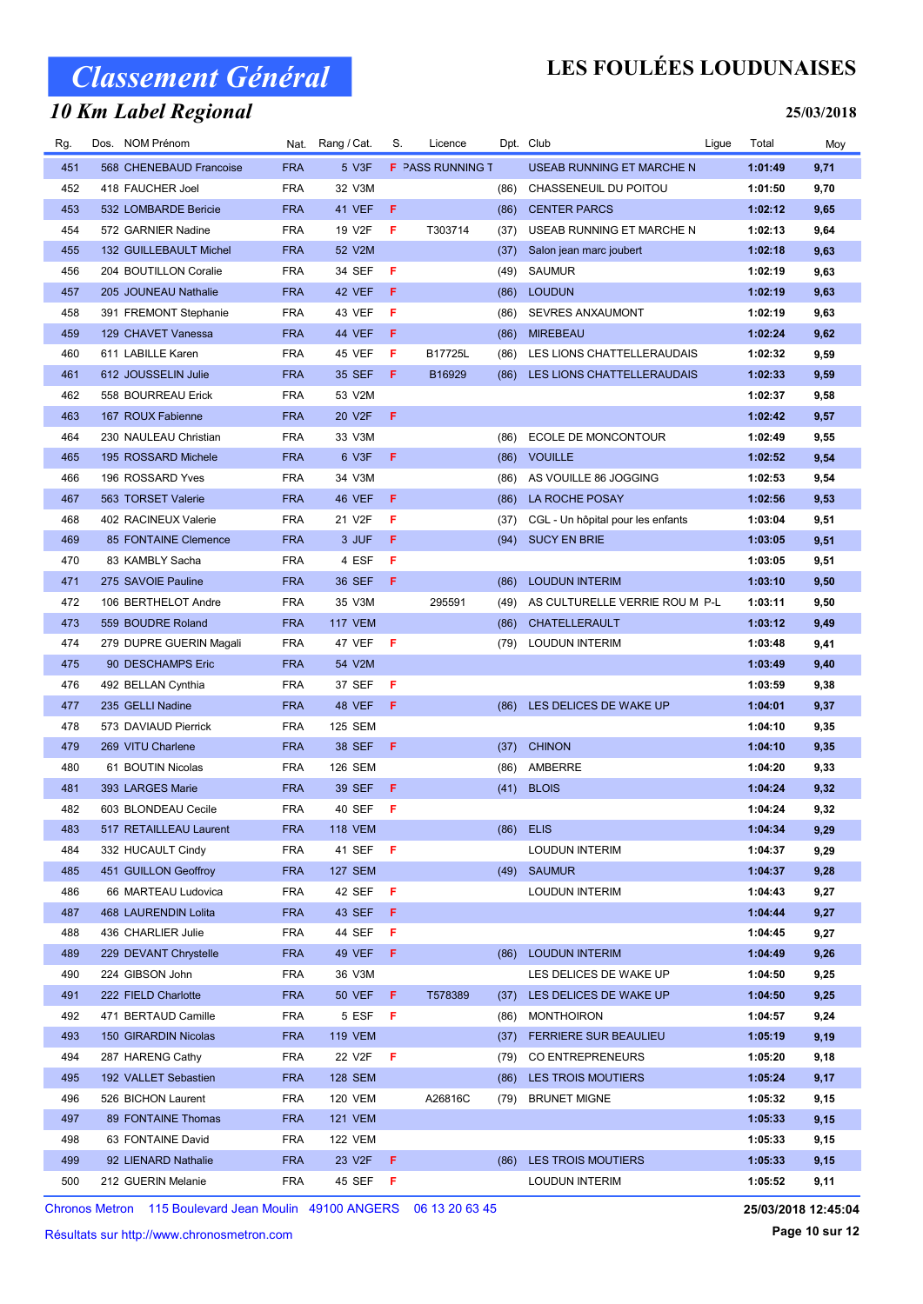### 10 Km Label Regional

## LES FOULÉES LOUDUNAISES

#### 25/03/2018

| Rg. | Dos. | NOM Prénom              | Nat.       | Rang / Cat.     | S.  | Licence                 |      | Dpt. Club                         | Ligue | Total   | Moy  |
|-----|------|-------------------------|------------|-----------------|-----|-------------------------|------|-----------------------------------|-------|---------|------|
| 451 |      | 568 CHENEBAUD Francoise | <b>FRA</b> | 5 V3F           |     | <b>F</b> PASS RUNNING T |      | USEAB RUNNING ET MARCHE N         |       | 1:01:49 | 9,71 |
| 452 |      | 418 FAUCHER Joel        | <b>FRA</b> | 32 V3M          |     |                         | (86) | CHASSENEUIL DU POITOU             |       | 1:01:50 | 9,70 |
| 453 |      | 532 LOMBARDE Bericie    | <b>FRA</b> | 41 VEF          | F   |                         | (86) | <b>CENTER PARCS</b>               |       | 1:02:12 | 9,65 |
| 454 |      | 572 GARNIER Nadine      | <b>FRA</b> | 19 V2F          | F   | T303714                 | (37) | USEAB RUNNING ET MARCHE N         |       | 1:02:13 | 9,64 |
| 455 |      | 132 GUILLEBAULT Michel  | <b>FRA</b> | 52 V2M          |     |                         | (37) | Salon jean marc joubert           |       | 1:02:18 | 9,63 |
| 456 |      | 204 BOUTILLON Coralie   | <b>FRA</b> | 34 SEF          | F   |                         | (49) | <b>SAUMUR</b>                     |       | 1:02:19 | 9,63 |
| 457 |      | 205 JOUNEAU Nathalie    | <b>FRA</b> | 42 VEF          | F   |                         | (86) | <b>LOUDUN</b>                     |       | 1:02:19 | 9,63 |
| 458 |      | 391 FREMONT Stephanie   | <b>FRA</b> | 43 VEF          | F   |                         | (86) | SEVRES ANXAUMONT                  |       | 1:02:19 | 9,63 |
| 459 |      | 129 CHAVET Vanessa      | <b>FRA</b> | 44 VEF          | F   |                         | (86) | <b>MIREBEAU</b>                   |       | 1:02:24 | 9,62 |
| 460 |      | 611 LABILLE Karen       | <b>FRA</b> | 45 VEF          | F   | B17725L                 | (86) | LES LIONS CHATTELLERAUDAIS        |       | 1:02:32 | 9,59 |
| 461 |      | 612 JOUSSELIN Julie     | <b>FRA</b> | 35 SEF          | F   | B16929                  | (86) | LES LIONS CHATTELLERAUDAIS        |       | 1:02:33 | 9,59 |
| 462 |      | 558 BOURREAU Erick      | <b>FRA</b> | 53 V2M          |     |                         |      |                                   |       | 1:02:37 | 9,58 |
| 463 |      | 167 ROUX Fabienne       | <b>FRA</b> | 20 V2F          | F   |                         |      |                                   |       | 1:02:42 | 9,57 |
| 464 |      | 230 NAULEAU Christian   | <b>FRA</b> | 33 V3M          |     |                         | (86) | <b>ECOLE DE MONCONTOUR</b>        |       | 1:02:49 | 9,55 |
| 465 |      | 195 ROSSARD Michele     | <b>FRA</b> | 6 V3F           | F   |                         | (86) | <b>VOUILLE</b>                    |       | 1:02:52 | 9,54 |
| 466 |      | 196 ROSSARD Yves        | <b>FRA</b> | 34 V3M          |     |                         | (86) | AS VOUILLE 86 JOGGING             |       | 1:02:53 | 9,54 |
| 467 |      | 563 TORSET Valerie      | <b>FRA</b> | 46 VEF          | F   |                         | (86) | <b>LA ROCHE POSAY</b>             |       | 1:02:56 | 9,53 |
| 468 |      | 402 RACINEUX Valerie    | <b>FRA</b> | 21 V2F          | F   |                         | (37) | CGL - Un hôpital pour les enfants |       | 1:03:04 | 9,51 |
| 469 |      | 85 FONTAINE Clemence    | <b>FRA</b> | 3 JUF           | F   |                         | (94) | <b>SUCY EN BRIE</b>               |       | 1:03:05 | 9,51 |
| 470 |      | 83 KAMBLY Sacha         | <b>FRA</b> | 4 ESF           | F   |                         |      |                                   |       | 1:03:05 | 9,51 |
| 471 |      | 275 SAVOIE Pauline      | <b>FRA</b> | 36 SEF          | F   |                         | (86) | <b>LOUDUN INTERIM</b>             |       | 1:03:10 | 9,50 |
| 472 |      | 106 BERTHELOT Andre     | <b>FRA</b> | 35 V3M          |     | 295591                  | (49) | AS CULTURELLE VERRIE ROU M P-L    |       | 1:03:11 | 9,50 |
| 473 |      | 559 BOUDRE Roland       | <b>FRA</b> | <b>117 VEM</b>  |     |                         | (86) | CHATELLERAULT                     |       | 1:03:12 | 9,49 |
| 474 |      | 279 DUPRE GUERIN Magali | <b>FRA</b> | 47 VEF          | F   |                         | (79) | <b>LOUDUN INTERIM</b>             |       | 1:03:48 | 9,41 |
| 475 |      | 90 DESCHAMPS Eric       | <b>FRA</b> | 54 V2M          |     |                         |      |                                   |       | 1:03:49 | 9,40 |
| 476 |      | 492 BELLAN Cynthia      | <b>FRA</b> | 37 SEF          | F   |                         |      |                                   |       | 1:03:59 | 9,38 |
| 477 |      | 235 GELLI Nadine        | <b>FRA</b> | 48 VEF          | F   |                         |      | (86) LES DELICES DE WAKE UP       |       | 1:04:01 | 9,37 |
| 478 |      | 573 DAVIAUD Pierrick    | <b>FRA</b> | 125 SEM         |     |                         |      |                                   |       | 1:04:10 | 9,35 |
| 479 |      | 269 VITU Charlene       | <b>FRA</b> | 38 SEF          | F   |                         | (37) | <b>CHINON</b>                     |       | 1:04:10 | 9,35 |
| 480 |      | 61 BOUTIN Nicolas       | <b>FRA</b> | 126 SEM         |     |                         | (86) | AMBERRE                           |       | 1:04:20 | 9,33 |
| 481 |      | 393 LARGES Marie        | <b>FRA</b> | 39 SEF          | F   |                         | (41) | <b>BLOIS</b>                      |       | 1:04:24 | 9,32 |
| 482 |      | 603 BLONDEAU Cecile     | <b>FRA</b> | 40 SEF          | - F |                         |      |                                   |       | 1:04:24 | 9,32 |
| 483 |      | 517 RETAILLEAU Laurent  | <b>FRA</b> | <b>118 VEM</b>  |     |                         |      | (86) ELIS                         |       | 1:04:34 | 9,29 |
| 484 |      | 332 HUCAULT Cindy       | FRA        | 41 SEF <b>F</b> |     |                         |      | <b>LOUDUN INTERIM</b>             |       | 1:04:37 | 9,29 |
| 485 |      | 451 GUILLON Geoffroy    | <b>FRA</b> | 127 SEM         |     |                         |      | (49) SAUMUR                       |       | 1:04:37 | 9,28 |
| 486 |      | 66 MARTEAU Ludovica     | <b>FRA</b> | 42 SEF          | - F |                         |      | <b>LOUDUN INTERIM</b>             |       | 1:04:43 | 9,27 |
| 487 |      | 468 LAURENDIN Lolita    | <b>FRA</b> | 43 SEF          | F.  |                         |      |                                   |       | 1:04:44 | 9,27 |
| 488 |      | 436 CHARLIER Julie      | <b>FRA</b> | 44 SEF          | F   |                         |      |                                   |       | 1:04:45 | 9,27 |
| 489 |      | 229 DEVANT Chrystelle   | <b>FRA</b> | 49 VEF          | F.  |                         | (86) | <b>LOUDUN INTERIM</b>             |       | 1:04:49 | 9,26 |
| 490 |      | 224 GIBSON John         | <b>FRA</b> | 36 V3M          |     |                         |      | LES DELICES DE WAKE UP            |       | 1:04:50 | 9,25 |
| 491 |      | 222 FIELD Charlotte     | <b>FRA</b> | <b>50 VEF</b>   | F.  | T578389                 | (37) | LES DELICES DE WAKE UP            |       | 1:04:50 | 9,25 |
| 492 |      | 471 BERTAUD Camille     | <b>FRA</b> | 5 ESF           | F   |                         | (86) | <b>MONTHOIRON</b>                 |       | 1:04:57 | 9,24 |
| 493 |      | 150 GIRARDIN Nicolas    | <b>FRA</b> | <b>119 VEM</b>  |     |                         | (37) | <b>FERRIERE SUR BEAULIEU</b>      |       | 1:05:19 | 9,19 |
| 494 |      | 287 HARENG Cathy        | <b>FRA</b> | 22 V2F          | F   |                         |      | (79) CO ENTREPRENEURS             |       | 1:05:20 | 9,18 |
| 495 |      | 192 VALLET Sebastien    | <b>FRA</b> | 128 SEM         |     |                         | (86) | LES TROIS MOUTIERS                |       | 1:05:24 | 9,17 |
| 496 |      | 526 BICHON Laurent      | <b>FRA</b> | 120 VEM         |     | A26816C                 | (79) | <b>BRUNET MIGNE</b>               |       | 1:05:32 | 9,15 |
| 497 |      | 89 FONTAINE Thomas      | <b>FRA</b> | <b>121 VEM</b>  |     |                         |      |                                   |       | 1:05:33 | 9,15 |
| 498 |      | 63 FONTAINE David       | <b>FRA</b> | 122 VEM         |     |                         |      |                                   |       | 1:05:33 | 9,15 |
| 499 |      | 92 LIENARD Nathalie     | <b>FRA</b> | 23 V2F          | F.  |                         | (86) | <b>LES TROIS MOUTIERS</b>         |       | 1:05:33 | 9,15 |
| 500 |      | 212 GUERIN Melanie      | <b>FRA</b> | 45 SEF          | - F |                         |      | <b>LOUDUN INTERIM</b>             |       | 1:05:52 | 9,11 |

Chronos Metron 115 Boulevard Jean Moulin 49100 ANGERS 06 13 20 63 45

Résultats sur http://www.chronosmetron.com

Page 10 sur 12 25/03/2018 12:45:04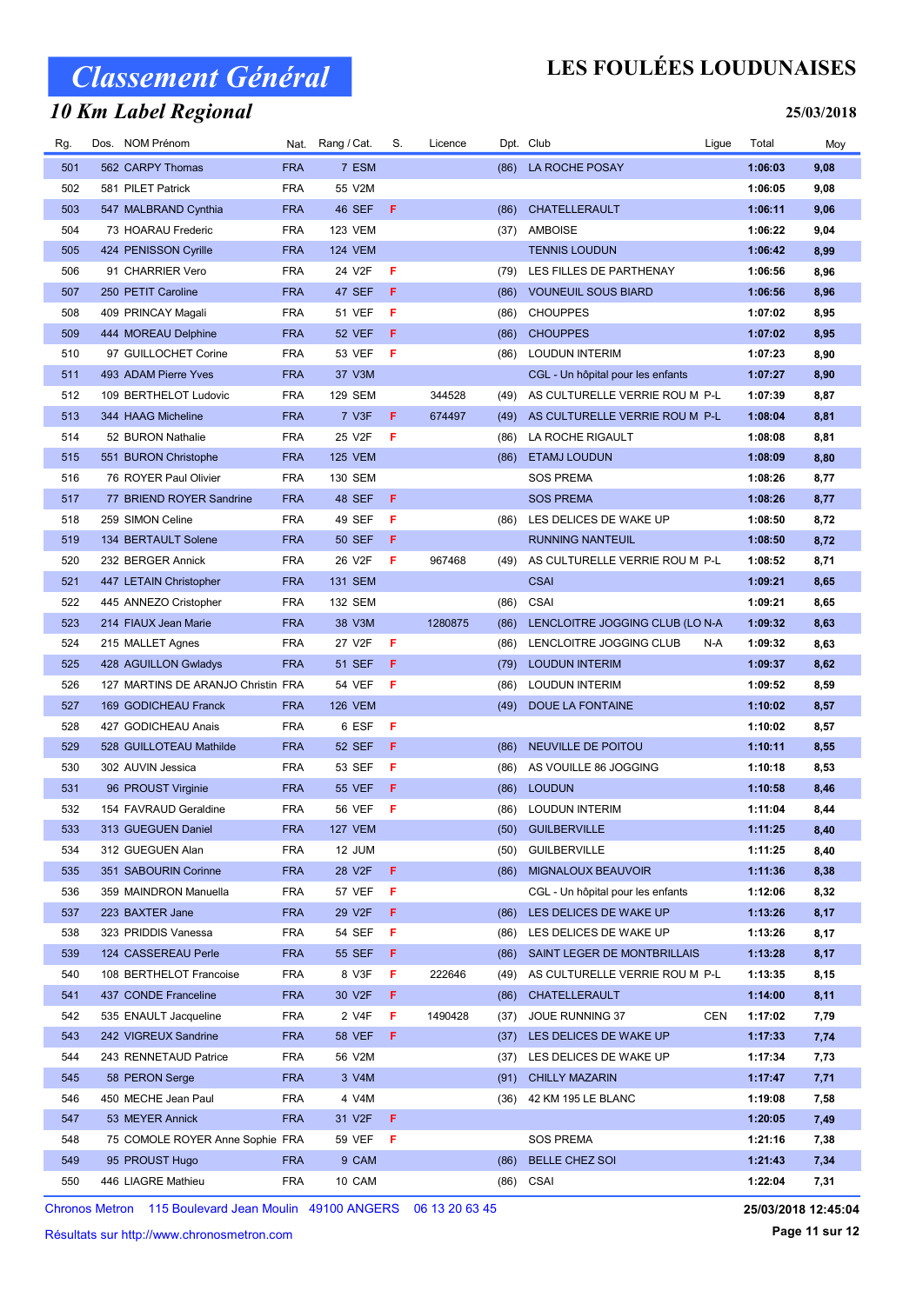### 10 Km Label Regional

## LES FOULÉES LOUDUNAISES

#### 25/03/2018

| Rg. | Dos. NOM Prénom                    | Nat.       | Rang / Cat.    | S. | Licence |      | Dpt. Club                         | Ligue | Total   | Moy  |
|-----|------------------------------------|------------|----------------|----|---------|------|-----------------------------------|-------|---------|------|
| 501 | 562 CARPY Thomas                   | <b>FRA</b> | 7 ESM          |    |         | (86) | LA ROCHE POSAY                    |       | 1:06:03 | 9,08 |
| 502 | 581 PILET Patrick                  | <b>FRA</b> | 55 V2M         |    |         |      |                                   |       | 1:06:05 | 9,08 |
| 503 | 547 MALBRAND Cynthia               | <b>FRA</b> | 46 SEF         | F  |         | (86) | CHATELLERAULT                     |       | 1:06:11 | 9,06 |
| 504 | 73 HOARAU Frederic                 | <b>FRA</b> | <b>123 VEM</b> |    |         | (37) | <b>AMBOISE</b>                    |       | 1:06:22 | 9,04 |
| 505 | 424 PENISSON Cyrille               | <b>FRA</b> | <b>124 VEM</b> |    |         |      | <b>TENNIS LOUDUN</b>              |       | 1:06:42 | 8,99 |
| 506 | 91 CHARRIER Vero                   | <b>FRA</b> | 24 V2F         | F  |         | (79) | LES FILLES DE PARTHENAY           |       | 1:06:56 | 8,96 |
| 507 | 250 PETIT Caroline                 | <b>FRA</b> | 47 SEF         | F  |         | (86) | <b>VOUNEUIL SOUS BIARD</b>        |       | 1:06:56 | 8,96 |
| 508 | 409 PRINCAY Magali                 | <b>FRA</b> | 51 VEF         | F  |         | (86) | <b>CHOUPPES</b>                   |       | 1:07:02 | 8,95 |
| 509 | 444 MOREAU Delphine                | <b>FRA</b> | 52 VEF         | F. |         | (86) | <b>CHOUPPES</b>                   |       | 1:07:02 | 8,95 |
| 510 | 97 GUILLOCHET Corine               | <b>FRA</b> | 53 VEF         | F  |         | (86) | <b>LOUDUN INTERIM</b>             |       | 1:07:23 | 8,90 |
| 511 | 493 ADAM Pierre Yves               | <b>FRA</b> | 37 V3M         |    |         |      | CGL - Un hôpital pour les enfants |       | 1:07:27 | 8,90 |
| 512 | 109 BERTHELOT Ludovic              | <b>FRA</b> | 129 SEM        |    | 344528  | (49) | AS CULTURELLE VERRIE ROU M P-L    |       | 1:07:39 | 8,87 |
| 513 | 344 HAAG Micheline                 | <b>FRA</b> | 7 V3F          | F. | 674497  | (49) | AS CULTURELLE VERRIE ROU M P-L    |       | 1:08:04 | 8,81 |
| 514 | 52 BURON Nathalie                  | <b>FRA</b> | 25 V2F         | F  |         | (86) | LA ROCHE RIGAULT                  |       | 1:08:08 | 8,81 |
| 515 | 551 BURON Christophe               | <b>FRA</b> | <b>125 VEM</b> |    |         | (86) | <b>ETAMJ LOUDUN</b>               |       | 1:08:09 | 8,80 |
| 516 | 76 ROYER Paul Olivier              | <b>FRA</b> | 130 SEM        |    |         |      | <b>SOS PREMA</b>                  |       | 1:08:26 | 8,77 |
| 517 | 77 BRIEND ROYER Sandrine           | <b>FRA</b> | 48 SEF         | F. |         |      | <b>SOS PREMA</b>                  |       | 1:08:26 | 8,77 |
| 518 | 259 SIMON Celine                   | <b>FRA</b> | 49 SEF         | F  |         | (86) | LES DELICES DE WAKE UP            |       | 1:08:50 | 8,72 |
| 519 | 134 BERTAULT Solene                | <b>FRA</b> | <b>50 SEF</b>  | F  |         |      | <b>RUNNING NANTEUIL</b>           |       | 1:08:50 | 8,72 |
| 520 | 232 BERGER Annick                  | <b>FRA</b> | 26 V2F         | F  | 967468  | (49) | AS CULTURELLE VERRIE ROU M P-L    |       | 1:08:52 | 8,71 |
| 521 | 447 LETAIN Christopher             | <b>FRA</b> | 131 SEM        |    |         |      | <b>CSAI</b>                       |       | 1:09:21 | 8,65 |
| 522 | 445 ANNEZO Cristopher              | <b>FRA</b> | 132 SEM        |    |         | (86) | CSAI                              |       | 1:09:21 | 8,65 |
| 523 | 214 FIAUX Jean Marie               | <b>FRA</b> | 38 V3M         |    | 1280875 | (86) | LENCLOITRE JOGGING CLUB (LO N-A   |       | 1:09:32 | 8,63 |
| 524 | 215 MALLET Agnes                   | <b>FRA</b> | 27 V2F         | F  |         | (86) | LENCLOITRE JOGGING CLUB           | N-A   | 1:09:32 | 8,63 |
| 525 | 428 AGUILLON Gwladys               | <b>FRA</b> | <b>51 SEF</b>  | F  |         | (79) | <b>LOUDUN INTERIM</b>             |       | 1:09:37 | 8,62 |
| 526 | 127 MARTINS DE ARANJO Christin FRA |            | <b>54 VEF</b>  | F  |         | (86) | <b>LOUDUN INTERIM</b>             |       | 1:09:52 | 8,59 |
| 527 | 169 GODICHEAU Franck               | <b>FRA</b> | <b>126 VEM</b> |    |         | (49) | DOUE LA FONTAINE                  |       | 1:10:02 | 8,57 |
| 528 | 427 GODICHEAU Anais                | <b>FRA</b> | 6 ESF          | F  |         |      |                                   |       | 1:10:02 | 8,57 |
| 529 | 528 GUILLOTEAU Mathilde            | <b>FRA</b> | 52 SEF         | F  |         | (86) | NEUVILLE DE POITOU                |       | 1:10:11 | 8,55 |
| 530 | 302 AUVIN Jessica                  | <b>FRA</b> | 53 SEF         | F  |         | (86) | AS VOUILLE 86 JOGGING             |       | 1:10:18 | 8,53 |
| 531 | 96 PROUST Virginie                 | <b>FRA</b> | <b>55 VEF</b>  | F. |         | (86) | <b>LOUDUN</b>                     |       | 1:10:58 | 8,46 |
| 532 | 154 FAVRAUD Geraldine              | <b>FRA</b> | 56 VEF         | F  |         |      | (86) LOUDUN INTERIM               |       | 1:11:04 | 8,44 |
| 533 | 313 GUEGUEN Daniel                 | <b>FRA</b> | <b>127 VEM</b> |    |         |      | (50) GUILBERVILLE                 |       | 1:11:25 | 8,40 |
| 534 | 312 GUEGUEN Alan                   | FRA        | 12 JUM         |    |         | (50) | <b>GUILBERVILLE</b>               |       | 1:11:25 | 8,40 |
| 535 | 351 SABOURIN Corinne               | <b>FRA</b> | 28 V2F         | F. |         | (86) | MIGNALOUX BEAUVOIR                |       | 1:11:36 | 8,38 |
| 536 | 359 MAINDRON Manuella              | <b>FRA</b> | 57 VEF         | F. |         |      | CGL - Un hôpital pour les enfants |       | 1:12:06 | 8,32 |
| 537 | 223 BAXTER Jane                    | <b>FRA</b> | 29 V2F         | F. |         | (86) | LES DELICES DE WAKE UP            |       | 1:13:26 | 8,17 |
| 538 | 323 PRIDDIS Vanessa                | <b>FRA</b> | 54 SEF         | F  |         | (86) | LES DELICES DE WAKE UP            |       | 1:13:26 | 8,17 |
| 539 | 124 CASSEREAU Perle                | <b>FRA</b> | 55 SEF         | F. |         | (86) | SAINT LEGER DE MONTBRILLAIS       |       | 1:13:28 | 8,17 |
| 540 | 108 BERTHELOT Francoise            | <b>FRA</b> | 8 V3F          | F. | 222646  | (49) | AS CULTURELLE VERRIE ROU M P-L    |       | 1:13:35 | 8,15 |
| 541 | 437 CONDE Franceline               | <b>FRA</b> | 30 V2F         | F. |         | (86) | CHATELLERAULT                     |       | 1:14:00 | 8,11 |
| 542 | 535 ENAULT Jacqueline              | <b>FRA</b> | 2 V4F          | F. | 1490428 | (37) | JOUE RUNNING 37                   | CEN   | 1:17:02 | 7,79 |
| 543 | 242 VIGREUX Sandrine               | <b>FRA</b> | <b>58 VEF</b>  | F  |         | (37) | LES DELICES DE WAKE UP            |       | 1:17:33 | 7,74 |
| 544 | 243 RENNETAUD Patrice              | <b>FRA</b> | 56 V2M         |    |         | (37) | LES DELICES DE WAKE UP            |       | 1:17:34 | 7,73 |
| 545 | 58 PERON Serge                     | <b>FRA</b> | 3 V4M          |    |         | (91) | <b>CHILLY MAZARIN</b>             |       | 1:17:47 | 7,71 |
| 546 | 450 MECHE Jean Paul                | <b>FRA</b> | 4 V4M          |    |         | (36) | 42 KM 195 LE BLANC                |       | 1:19:08 | 7,58 |
| 547 | 53 MEYER Annick                    | <b>FRA</b> | 31 V2F         | F. |         |      |                                   |       | 1:20:05 | 7,49 |
| 548 | 75 COMOLE ROYER Anne Sophie FRA    |            | 59 VEF         | F  |         |      | <b>SOS PREMA</b>                  |       | 1:21:16 | 7,38 |
| 549 | 95 PROUST Hugo                     | <b>FRA</b> | 9 CAM          |    |         | (86) | <b>BELLE CHEZ SOI</b>             |       | 1:21:43 | 7,34 |
| 550 | 446 LIAGRE Mathieu                 | FRA        | 10 CAM         |    |         | (86) | CSAI                              |       | 1:22:04 | 7,31 |
|     |                                    |            |                |    |         |      |                                   |       |         |      |

Chronos Metron 115 Boulevard Jean Moulin 49100 ANGERS 06 13 20 63 45